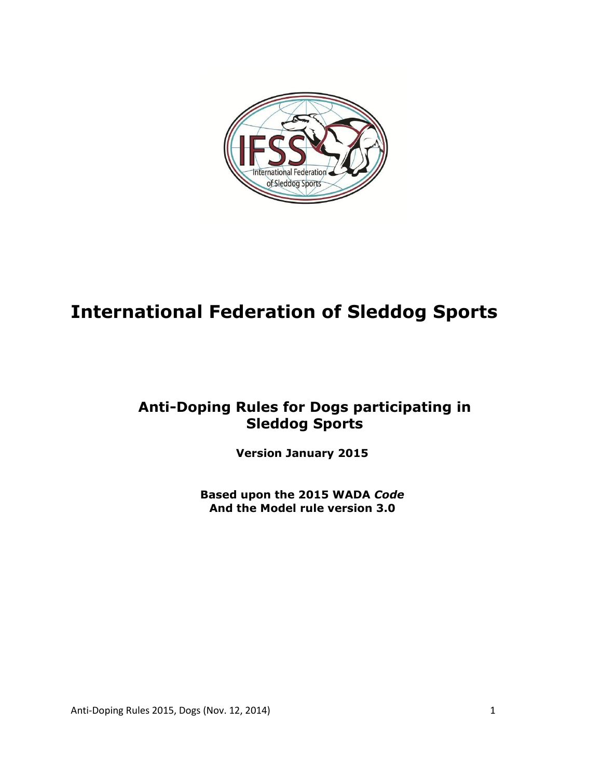

# **International Federation of Sleddog Sports**

# **Anti-Doping Rules for Dogs participating in Sleddog Sports**

**Version January 2015** 

**Based upon the 2015 WADA** *Code* **And the Model rule version 3.0**

Anti-Doping Rules 2015, Dogs (Nov. 12, 2014) 1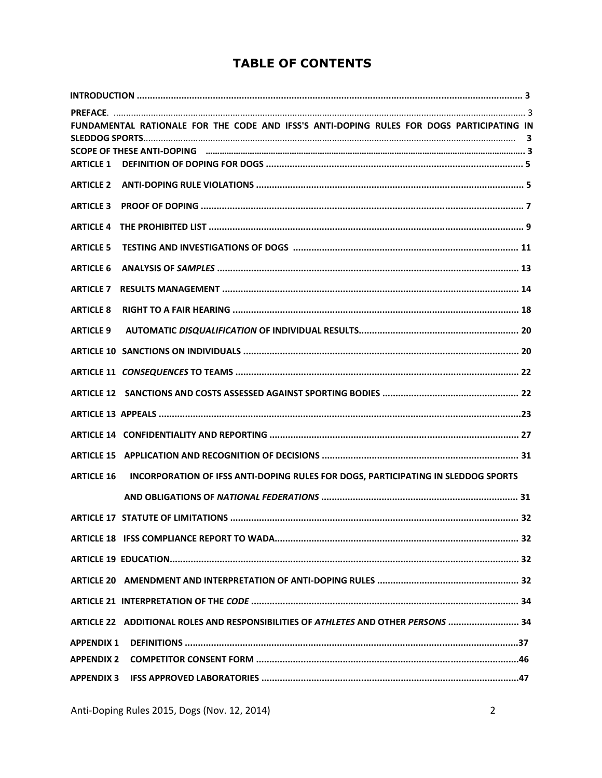## **TABLE OF CONTENTS**

| <b>ARTICLE 1</b>  | FUNDAMENTAL RATIONALE FOR THE CODE AND IFSS'S ANTI-DOPING RULES FOR DOGS PARTICIPATING IN |
|-------------------|-------------------------------------------------------------------------------------------|
| <b>ARTICLE 2</b>  |                                                                                           |
| <b>ARTICLE 3</b>  |                                                                                           |
| <b>ARTICLE 4</b>  |                                                                                           |
| <b>ARTICLE 5</b>  |                                                                                           |
| <b>ARTICLE 6</b>  |                                                                                           |
| <b>ARTICLE 7</b>  |                                                                                           |
| <b>ARTICLE 8</b>  |                                                                                           |
| <b>ARTICLE 9</b>  |                                                                                           |
|                   |                                                                                           |
|                   |                                                                                           |
|                   |                                                                                           |
|                   |                                                                                           |
|                   |                                                                                           |
|                   |                                                                                           |
| <b>ARTICLE 16</b> | INCORPORATION OF IFSS ANTI-DOPING RULES FOR DOGS, PARTICIPATING IN SLEDDOG SPORTS         |
|                   |                                                                                           |
|                   |                                                                                           |
|                   |                                                                                           |
|                   |                                                                                           |
|                   |                                                                                           |
|                   |                                                                                           |
|                   | ARTICLE 22 ADDITIONAL ROLES AND RESPONSIBILITIES OF ATHLETES AND OTHER PERSONS  34        |
| <b>APPENDIX 1</b> |                                                                                           |
| <b>APPENDIX 2</b> |                                                                                           |
| <b>APPENDIX 3</b> |                                                                                           |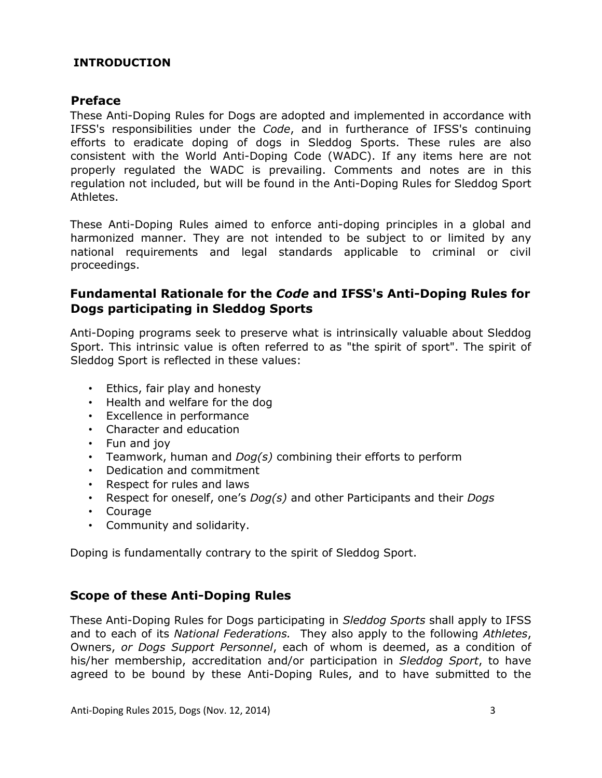## **INTRODUCTION**

#### **Preface**

These Anti-Doping Rules for Dogs are adopted and implemented in accordance with IFSS's responsibilities under the *Code*, and in furtherance of IFSS's continuing efforts to eradicate doping of dogs in Sleddog Sports. These rules are also consistent with the World Anti-Doping Code (WADC). If any items here are not properly regulated the WADC is prevailing. Comments and notes are in this regulation not included, but will be found in the Anti-Doping Rules for Sleddog Sport Athletes.

These Anti-Doping Rules aimed to enforce anti-doping principles in a global and harmonized manner. They are not intended to be subject to or limited by any national requirements and legal standards applicable to criminal or civil proceedings.

## **Fundamental Rationale for the** *Code* **and IFSS's Anti-Doping Rules for Dogs participating in Sleddog Sports**

Anti-Doping programs seek to preserve what is intrinsically valuable about Sleddog Sport. This intrinsic value is often referred to as "the spirit of sport". The spirit of Sleddog Sport is reflected in these values:

- Ethics, fair play and honesty
- Health and welfare for the dog
- Excellence in performance
- Character and education
- Fun and joy
- Teamwork, human and *Dog(s)* combining their efforts to perform
- Dedication and commitment
- Respect for rules and laws
- Respect for oneself, one's *Dog(s)* and other Participants and their *Dogs*
- Courage
- Community and solidarity.

Doping is fundamentally contrary to the spirit of Sleddog Sport.

## **Scope of these Anti-Doping Rules**

These Anti-Doping Rules for Dogs participating in *Sleddog Sports* shall apply to IFSS and to each of its *National Federations.* They also apply to the following *Athletes*, Owners, *or Dogs Support Personnel*, each of whom is deemed, as a condition of his/her membership, accreditation and/or participation in *Sleddog Sport*, to have agreed to be bound by these Anti-Doping Rules, and to have submitted to the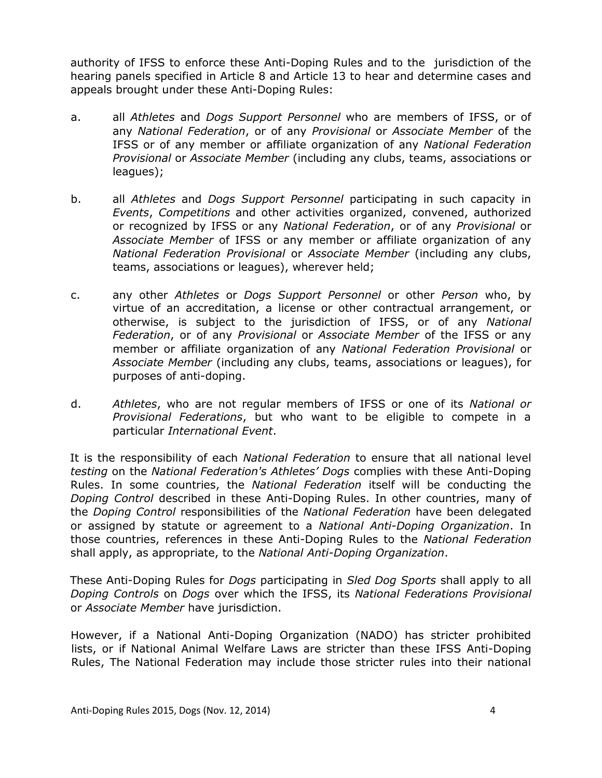authority of IFSS to enforce these Anti-Doping Rules and to the jurisdiction of the hearing panels specified in Article 8 and Article 13 to hear and determine cases and appeals brought under these Anti-Doping Rules:

- a. all *Athletes* and *Dogs Support Personnel* who are members of IFSS, or of any *National Federation*, or of any *Provisional* or *Associate Member* of the IFSS or of any member or affiliate organization of any *National Federation Provisional* or *Associate Member* (including any clubs, teams, associations or leagues);
- b. all *Athletes* and *Dogs Support Personnel* participating in such capacity in *Events*, *Competitions* and other activities organized, convened, authorized or recognized by IFSS or any *National Federation*, or of any *Provisional* or *Associate Member* of IFSS or any member or affiliate organization of any *National Federation Provisional* or *Associate Member* (including any clubs, teams, associations or leagues), wherever held;
- c. any other *Athletes* or *Dogs Support Personnel* or other *Person* who, by virtue of an accreditation, a license or other contractual arrangement, or otherwise, is subject to the jurisdiction of IFSS, or of any *National Federation*, or of any *Provisional* or *Associate Member* of the IFSS or any member or affiliate organization of any *National Federation Provisional* or *Associate Member* (including any clubs, teams, associations or leagues), for purposes of anti-doping.
- d. *Athletes*, who are not regular members of IFSS or one of its *National or Provisional Federations*, but who want to be eligible to compete in a particular *International Event*.

It is the responsibility of each *National Federation* to ensure that all national level *testing* on the *National Federation's Athletes' Dogs* complies with these Anti-Doping Rules. In some countries, the *National Federation* itself will be conducting the *Doping Control* described in these Anti-Doping Rules. In other countries, many of the *Doping Control* responsibilities of the *National Federation* have been delegated or assigned by statute or agreement to a *National Anti-Doping Organization*. In those countries, references in these Anti-Doping Rules to the *National Federation*  shall apply, as appropriate, to the *National Anti-Doping Organization*.

These Anti-Doping Rules for *Dogs* participating in *Sled Dog Sports* shall apply to all *Doping Controls* on *Dogs* over which the IFSS, its *National Federations Provisional* or *Associate Member* have jurisdiction.

However, if a National Anti-Doping Organization (NADO) has stricter prohibited lists, or if National Animal Welfare Laws are stricter than these IFSS Anti-Doping Rules, The National Federation may include those stricter rules into their national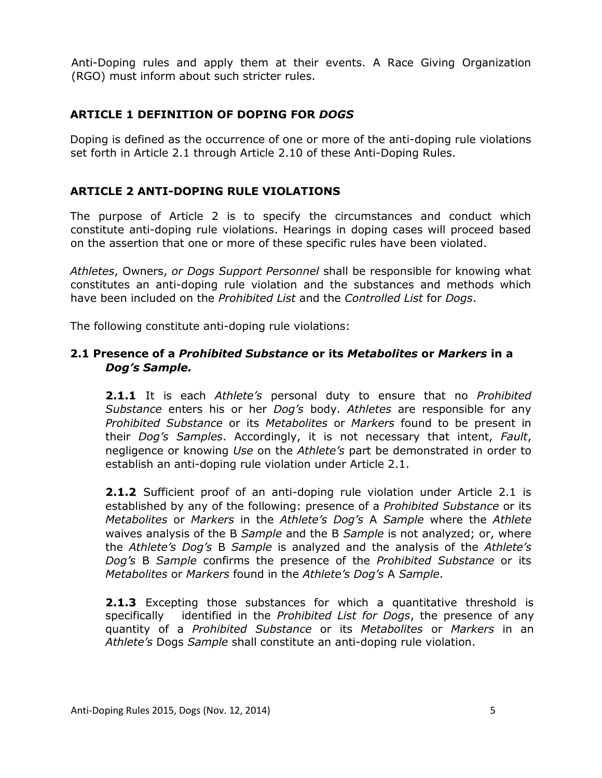Anti-Doping rules and apply them at their events. A Race Giving Organization (RGO) must inform about such stricter rules.

## **ARTICLE 1 DEFINITION OF DOPING FOR** *DOGS*

Doping is defined as the occurrence of one or more of the anti-doping rule violations set forth in Article 2.1 through Article 2.10 of these Anti-Doping Rules.

#### **ARTICLE 2 ANTI-DOPING RULE VIOLATIONS**

The purpose of Article 2 is to specify the circumstances and conduct which constitute anti-doping rule violations. Hearings in doping cases will proceed based on the assertion that one or more of these specific rules have been violated.

*Athletes*, Owners, *or Dogs Support Personnel* shall be responsible for knowing what constitutes an anti-doping rule violation and the substances and methods which have been included on the *Prohibited List* and the *Controlled List* for *Dogs*.

The following constitute anti-doping rule violations:

#### **2.1 Presence of a** *Prohibited Substance* **or its** *Metabolites* **or** *Markers* **in a**  *Dog's Sample.*

**2.1.1** It is each *Athlete's* personal duty to ensure that no *Prohibited Substance* enters his or her *Dog's* body. *Athletes* are responsible for any *Prohibited Substance* or its *Metabolites* or *Markers* found to be present in their *Dog's Samples*. Accordingly, it is not necessary that intent, *Fault*, negligence or knowing *Use* on the *Athlete's* part be demonstrated in order to establish an anti-doping rule violation under Article 2.1.

**2.1.2** Sufficient proof of an anti-doping rule violation under Article 2.1 is established by any of the following: presence of a *Prohibited Substance* or its *Metabolites* or *Markers* in the *Athlete's Dog's* A *Sample* where the *Athlete*  waives analysis of the B *Sample* and the B *Sample* is not analyzed; or, where the *Athlete's Dog's* B *Sample* is analyzed and the analysis of the *Athlete's Dog's* B *Sample* confirms the presence of the *Prohibited Substance* or its *Metabolites* or *Markers* found in the *Athlete's Dog's* A *Sample*.

**2.1.3** Excepting those substances for which a quantitative threshold is specifically identified in the *Prohibited List for Dogs*, the presence of any quantity of a *Prohibited Substance* or its *Metabolites* or *Markers* in an *Athlete's* Dogs *Sample* shall constitute an anti-doping rule violation.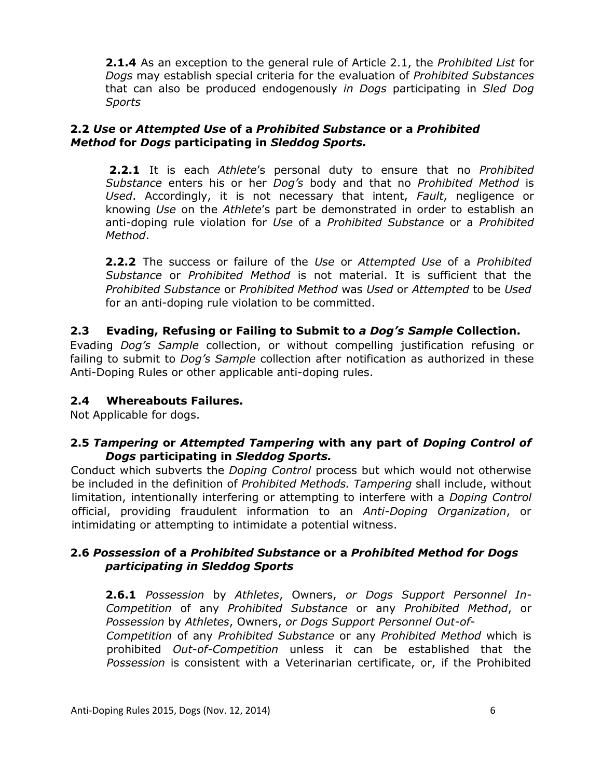**2.1.4** As an exception to the general rule of Article 2.1, the *Prohibited List* for *Dogs* may establish special criteria for the evaluation of *Prohibited Substances*  that can also be produced endogenously *in Dogs* participating in *Sled Dog Sports*

#### **2.2** *Use* **or** *Attempted Use* **of a** *Prohibited Substance* **or a** *Prohibited Method* **for** *Dogs* **participating in** *Sleddog Sports.*

**2.2.1** It is each *Athlete*'s personal duty to ensure that no *Prohibited Substance* enters his or her *Dog's* body and that no *Prohibited Method* is *Used*. Accordingly, it is not necessary that intent, *Fault*, negligence or knowing *Use* on the *Athlete*'s part be demonstrated in order to establish an anti-doping rule violation for *Use* of a *Prohibited Substance* or a *Prohibited Method*.

**2.2.2** The success or failure of the *Use* or *Attempted Use* of a *Prohibited Substance* or *Prohibited Method* is not material. It is sufficient that the *Prohibited Substance* or *Prohibited Method* was *Used* or *Attempted* to be *Used*  for an anti-doping rule violation to be committed.

## **2.3 Evading, Refusing or Failing to Submit to** *a Dog's Sample* **Collection.**

Evading *Dog's Sample* collection, or without compelling justification refusing or failing to submit to *Dog's Sample* collection after notification as authorized in these Anti-Doping Rules or other applicable anti-doping rules.

#### **2.4 Whereabouts Failures.**

Not Applicable for dogs.

## **2.5** *Tampering* **or** *Attempted Tampering* **with any part of** *Doping Control of Dogs* **participating in** *Sleddog Sports.*

Conduct which subverts the *Doping Control* process but which would not otherwise be included in the definition of *Prohibited Methods. Tampering* shall include, without limitation, intentionally interfering or attempting to interfere with a *Doping Control*  official, providing fraudulent information to an *Anti-Doping Organization*, or intimidating or attempting to intimidate a potential witness.

#### **2.6** *Possession* **of a** *Prohibited Substance* **or a** *Prohibited Method for Dogs participating in Sleddog Sports*

**2.6.1** *Possession* by *Athletes*, Owners, *or Dogs Support Personnel In-Competition* of any *Prohibited Substance* or any *Prohibited Method*, or *Possession* by *Athletes*, Owners, *or Dogs Support Personnel Out-of-*

*Competition* of any *Prohibited Substance* or any *Prohibited Method* which is prohibited *Out-of-Competition* unless it can be established that the *Possession* is consistent with a Veterinarian certificate, or, if the Prohibited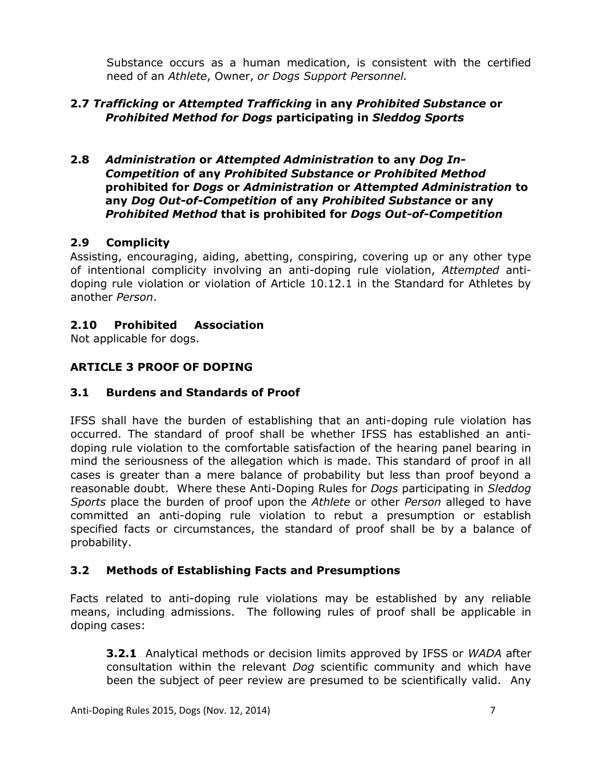Substance occurs as a human medication, is consistent with the certified need of an *Athlete*, Owner, *or Dogs Support Personnel.*

## **2.7** *Trafficking* **or** *Attempted Trafficking* **in any** *Prohibited Substance* **or**  *Prohibited Method for Dogs* **participating in** *Sleddog Sports*

**2.8** *Administration* **or** *Attempted Administration* **to any** *Dog In-Competition* **of any** *Prohibited Substance or Prohibited Method*  **prohibited for** *Dogs* **or** *Administration* **or** *Attempted Administration* **to any** *Dog Out-of-Competition* **of any** *Prohibited Substance* **or any**  *Prohibited Method* **that is prohibited for** *Dogs Out-of-Competition*

## **2.9 Complicity**

Assisting, encouraging, aiding, abetting, conspiring, covering up or any other type of intentional complicity involving an anti-doping rule violation, *Attempted* antidoping rule violation or violation of Article 10.12.1 in the Standard for Athletes by another *Person*.

## **2.10 Prohibited Association**

Not applicable for dogs.

## **ARTICLE 3 PROOF OF DOPING**

#### **3.1 Burdens and Standards of Proof**

IFSS shall have the burden of establishing that an anti-doping rule violation has occurred. The standard of proof shall be whether IFSS has established an antidoping rule violation to the comfortable satisfaction of the hearing panel bearing in mind the seriousness of the allegation which is made. This standard of proof in all cases is greater than a mere balance of probability but less than proof beyond a reasonable doubt. Where these Anti-Doping Rules for *Dogs* participating in *Sleddog Sports* place the burden of proof upon the *Athlete* or other *Person* alleged to have committed an anti-doping rule violation to rebut a presumption or establish specified facts or circumstances, the standard of proof shall be by a balance of probability.

#### **3.2 Methods of Establishing Facts and Presumptions**

Facts related to anti-doping rule violations may be established by any reliable means, including admissions. The following rules of proof shall be applicable in doping cases:

**3.2.1** Analytical methods or decision limits approved by IFSS or *WADA* after consultation within the relevant *Dog* scientific community and which have been the subject of peer review are presumed to be scientifically valid. Any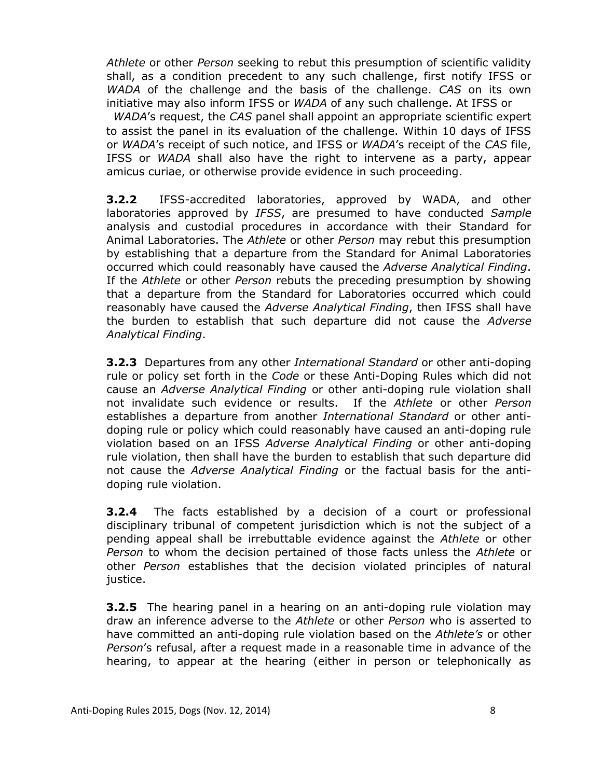*Athlete* or other *Person* seeking to rebut this presumption of scientific validity shall, as a condition precedent to any such challenge, first notify IFSS or *WADA* of the challenge and the basis of the challenge. *CAS* on its own initiative may also inform IFSS or *WADA* of any such challenge. At IFSS or

*WADA*'s request, the *CAS* panel shall appoint an appropriate scientific expert to assist the panel in its evaluation of the challenge. Within 10 days of IFSS or *WADA*'s receipt of such notice, and IFSS or *WADA*'s receipt of the *CAS* file, IFSS or *WADA* shall also have the right to intervene as a party, appear amicus curiae, or otherwise provide evidence in such proceeding.

**3.2.2** IFSS-accredited laboratories, approved by WADA, and other laboratories approved by *IFSS*, are presumed to have conducted *Sample*  analysis and custodial procedures in accordance with their Standard for Animal Laboratories. The *Athlete* or other *Person* may rebut this presumption by establishing that a departure from the Standard for Animal Laboratories occurred which could reasonably have caused the *Adverse Analytical Finding*. If the *Athlete* or other *Person* rebuts the preceding presumption by showing that a departure from the Standard for Laboratories occurred which could reasonably have caused the *Adverse Analytical Finding*, then IFSS shall have the burden to establish that such departure did not cause the *Adverse Analytical Finding*.

**3.2.3** Departures from any other *International Standard* or other anti-doping rule or policy set forth in the *Code* or these Anti-Doping Rules which did not cause an *Adverse Analytical Finding* or other anti-doping rule violation shall not invalidate such evidence or results. If the *Athlete* or other *Person* establishes a departure from another *International Standard* or other antidoping rule or policy which could reasonably have caused an anti-doping rule violation based on an IFSS *Adverse Analytical Finding* or other anti-doping rule violation, then shall have the burden to establish that such departure did not cause the *Adverse Analytical Finding* or the factual basis for the antidoping rule violation.

**3.2.4** The facts established by a decision of a court or professional disciplinary tribunal of competent jurisdiction which is not the subject of a pending appeal shall be irrebuttable evidence against the *Athlete* or other *Person* to whom the decision pertained of those facts unless the *Athlete* or other *Person* establishes that the decision violated principles of natural justice.

**3.2.5** The hearing panel in a hearing on an anti-doping rule violation may draw an inference adverse to the *Athlete* or other *Person* who is asserted to have committed an anti-doping rule violation based on the *Athlete's* or other *Person*'s refusal, after a request made in a reasonable time in advance of the hearing, to appear at the hearing (either in person or telephonically as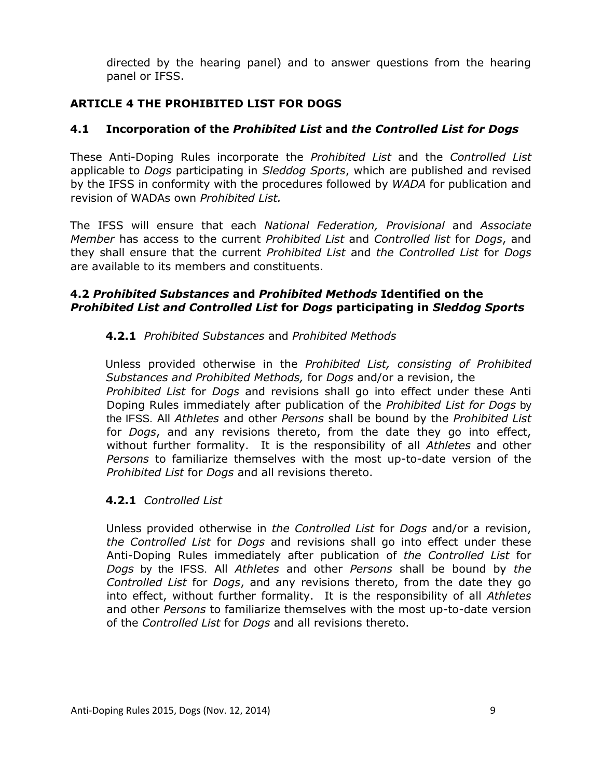directed by the hearing panel) and to answer questions from the hearing panel or IFSS.

## **ARTICLE 4 THE PROHIBITED LIST FOR DOGS**

## **4.1 Incorporation of the** *Prohibited List* **and** *the Controlled List for Dogs*

These Anti-Doping Rules incorporate the *Prohibited List* and the *Controlled List* applicable to *Dogs* participating in *Sleddog Sports*, which are published and revised by the IFSS in conformity with the procedures followed by *WADA* for publication and revision of WADAs own *Prohibited List.*

The IFSS will ensure that each *National Federation, Provisional* and *Associate Member* has access to the current *Prohibited List* and *Controlled list* for *Dogs*, and they shall ensure that the current *Prohibited List* and *the Controlled List* for *Dogs*  are available to its members and constituents.

#### **4.2** *Prohibited Substances* **and** *Prohibited Methods* **Identified on the**  *Prohibited List and Controlled List* **for** *Dogs* **participating in** *Sleddog Sports*

## **4.2.1** *Prohibited Substances* and *Prohibited Methods*

Unless provided otherwise in the *Prohibited List, consisting of Prohibited Substances and Prohibited Methods,* for *Dogs* and/or a revision, the *Prohibited List* for *Dogs* and revisions shall go into effect under these Anti Doping Rules immediately after publication of the *Prohibited List for Dogs* by the IFSS. All *Athletes* and other *Persons* shall be bound by the *Prohibited List*  for *Dogs*, and any revisions thereto, from the date they go into effect, without further formality. It is the responsibility of all *Athletes* and other *Persons* to familiarize themselves with the most up-to-date version of the *Prohibited List* for *Dogs* and all revisions thereto.

#### **4.2.1** *Controlled List*

Unless provided otherwise in *the Controlled List* for *Dogs* and/or a revision, *the Controlled List* for *Dogs* and revisions shall go into effect under these Anti-Doping Rules immediately after publication of *the Controlled List* for *Dogs* by the IFSS. All *Athletes* and other *Persons* shall be bound by *the Controlled List* for *Dogs*, and any revisions thereto, from the date they go into effect, without further formality. It is the responsibility of all *Athletes*  and other *Persons* to familiarize themselves with the most up-to-date version of the *Controlled List* for *Dogs* and all revisions thereto.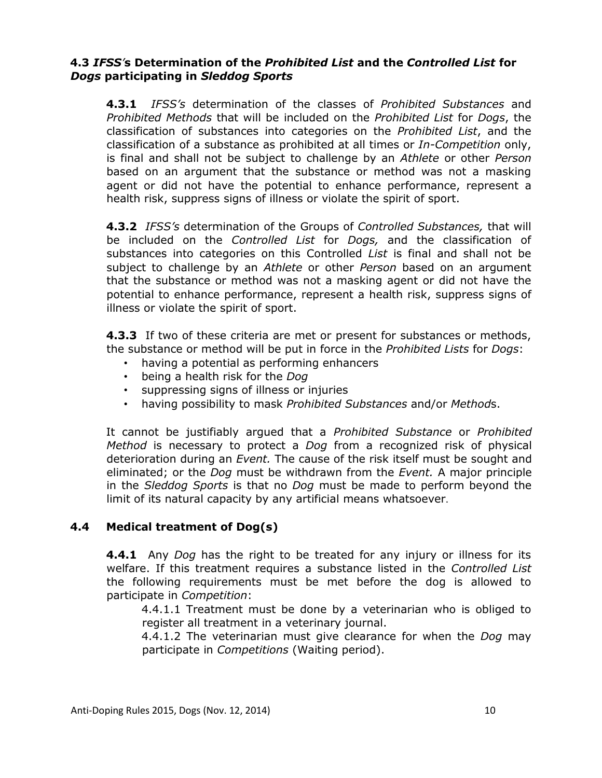## **4.3** *IFSS'***s Determination of the** *Prohibited List* **and the** *Controlled List* **for**  *Dogs* **participating in** *Sleddog Sports*

**4.3.1** *IFSS's* determination of the classes of *Prohibited Substances* and *Prohibited Methods* that will be included on the *Prohibited List* for *Dogs*, the classification of substances into categories on the *Prohibited List*, and the classification of a substance as prohibited at all times or *In-Competition* only, is final and shall not be subject to challenge by an *Athlete* or other *Person* based on an argument that the substance or method was not a masking agent or did not have the potential to enhance performance, represent a health risk, suppress signs of illness or violate the spirit of sport.

**4.3.2** *IFSS's* determination of the Groups of *Controlled Substances,* that will be included on the *Controlled List* for *Dogs,* and the classification of substances into categories on this Controlled *List* is final and shall not be subject to challenge by an *Athlete* or other *Person* based on an argument that the substance or method was not a masking agent or did not have the potential to enhance performance, represent a health risk, suppress signs of illness or violate the spirit of sport.

**4.3.3** If two of these criteria are met or present for substances or methods, the substance or method will be put in force in the *Prohibited Lists* for *Dogs*:

- having a potential as performing enhancers
- being a health risk for the *Dog*
- suppressing signs of illness or injuries
- having possibility to mask *Prohibited Substances* and/or *Method*s.

It cannot be justifiably argued that a *Prohibited Substance* or *Prohibited Method* is necessary to protect a *Dog* from a recognized risk of physical deterioration during an *Event.* The cause of the risk itself must be sought and eliminated; or the *Dog* must be withdrawn from the *Event.* A major principle in the *Sleddog Sports* is that no *Dog* must be made to perform beyond the limit of its natural capacity by any artificial means whatsoever.

## **4.4 Medical treatment of Dog(s)**

**4.4.1** Any *Dog* has the right to be treated for any injury or illness for its welfare. If this treatment requires a substance listed in the *Controlled List* the following requirements must be met before the dog is allowed to participate in *Competition*:

4.4.1.1 Treatment must be done by a veterinarian who is obliged to register all treatment in a veterinary journal.

4.4.1.2 The veterinarian must give clearance for when the *Dog* may participate in *Competitions* (Waiting period).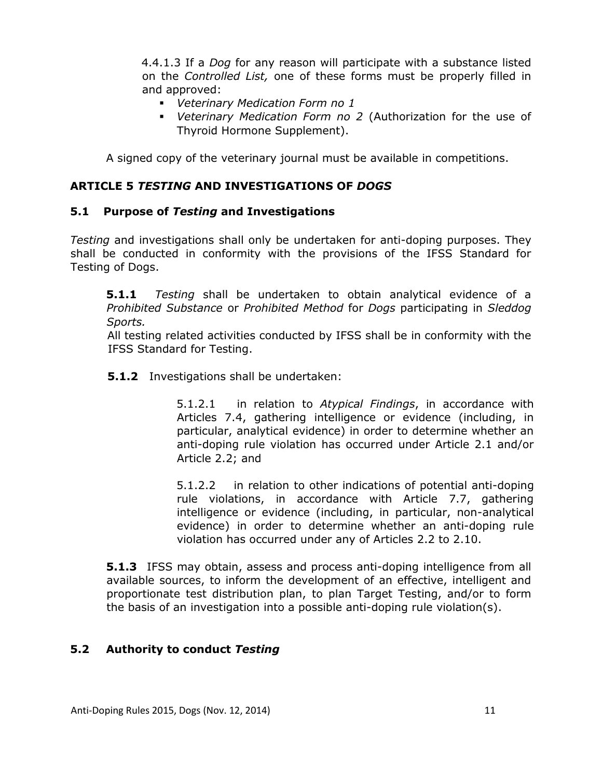4.4.1.3 If a *Dog* for any reason will participate with a substance listed on the *Controlled List,* one of these forms must be properly filled in and approved:

- *Veterinary Medication Form no 1*
- *Veterinary Medication Form no 2* (Authorization for the use of Thyroid Hormone Supplement).

A signed copy of the veterinary journal must be available in competitions.

#### **ARTICLE 5** *TESTING* **AND INVESTIGATIONS OF** *DOGS*

#### **5.1 Purpose of** *Testing* **and Investigations**

*Testing* and investigations shall only be undertaken for anti-doping purposes. They shall be conducted in conformity with the provisions of the IFSS Standard for Testing of Dogs.

**5.1.1** *Testing* shall be undertaken to obtain analytical evidence of a *Prohibited Substance* or *Prohibited Method* for *Dogs* participating in *Sleddog Sports.*

All testing related activities conducted by IFSS shall be in conformity with the IFSS Standard for Testing.

**5.1.2** Investigations shall be undertaken:

5.1.2.1 in relation to *Atypical Findings*, in accordance with Articles 7.4, gathering intelligence or evidence (including, in particular, analytical evidence) in order to determine whether an anti-doping rule violation has occurred under Article 2.1 and/or Article 2.2; and

5.1.2.2 in relation to other indications of potential anti-doping rule violations, in accordance with Article 7.7, gathering intelligence or evidence (including, in particular, non-analytical evidence) in order to determine whether an anti-doping rule violation has occurred under any of Articles 2.2 to 2.10.

**5.1.3** IFSS may obtain, assess and process anti-doping intelligence from all available sources, to inform the development of an effective, intelligent and proportionate test distribution plan, to plan Target Testing, and/or to form the basis of an investigation into a possible anti-doping rule violation(s).

#### **5.2 Authority to conduct** *Testing*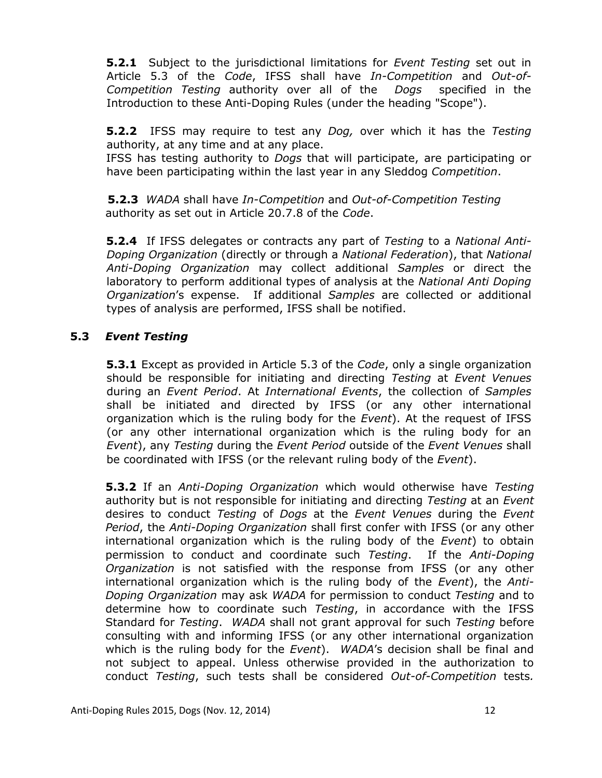**5.2.1** Subject to the jurisdictional limitations for *Event Testing* set out in Article 5.3 of the *Code*, IFSS shall have *In-Competition* and *Out-of-Competition Testing* authority over all of the *Dogs* specified in the Introduction to these Anti-Doping Rules (under the heading "Scope").

**5.2.2** IFSS may require to test any *Dog,* over which it has the *Testing* authority, at any time and at any place.

IFSS has testing authority to *Dogs* that will participate, are participating or have been participating within the last year in any Sleddog *Competition*.

**5.2.3** *WADA* shall have *In-Competition* and *Out-of-Competition Testing* authority as set out in Article 20.7.8 of the *Code*.

**5.2.4** If IFSS delegates or contracts any part of *Testing* to a *National Anti-Doping Organization* (directly or through a *National Federation*), that *National Anti-Doping Organization* may collect additional *Samples* or direct the laboratory to perform additional types of analysis at the *National Anti Doping Organization*'s expense. If additional *Samples* are collected or additional types of analysis are performed, IFSS shall be notified.

## **5.3** *Event Testing*

**5.3.1** Except as provided in Article 5.3 of the *Code*, only a single organization should be responsible for initiating and directing *Testing* at *Event Venues* during an *Event Period*. At *International Events*, the collection of *Samples* shall be initiated and directed by IFSS (or any other international organization which is the ruling body for the *Event*). At the request of IFSS (or any other international organization which is the ruling body for an *Event*), any *Testing* during the *Event Period* outside of the *Event Venues* shall be coordinated with IFSS (or the relevant ruling body of the *Event*).

**5.3.2** If an *Anti-Doping Organization* which would otherwise have *Testing* authority but is not responsible for initiating and directing *Testing* at an *Event* desires to conduct *Testing* of *Dogs* at the *Event Venues* during the *Event Period*, the *Anti-Doping Organization* shall first confer with IFSS (or any other international organization which is the ruling body of the *Event*) to obtain permission to conduct and coordinate such *Testing*. If the *Anti-Doping Organization* is not satisfied with the response from IFSS (or any other international organization which is the ruling body of the *Event*), the *Anti-Doping Organization* may ask *WADA* for permission to conduct *Testing* and to determine how to coordinate such *Testing*, in accordance with the IFSS Standard for *Testing*. *WADA* shall not grant approval for such *Testing* before consulting with and informing IFSS (or any other international organization which is the ruling body for the *Event*). *WADA*'s decision shall be final and not subject to appeal. Unless otherwise provided in the authorization to conduct *Testing*, such tests shall be considered *Out-of-Competition* tests*.*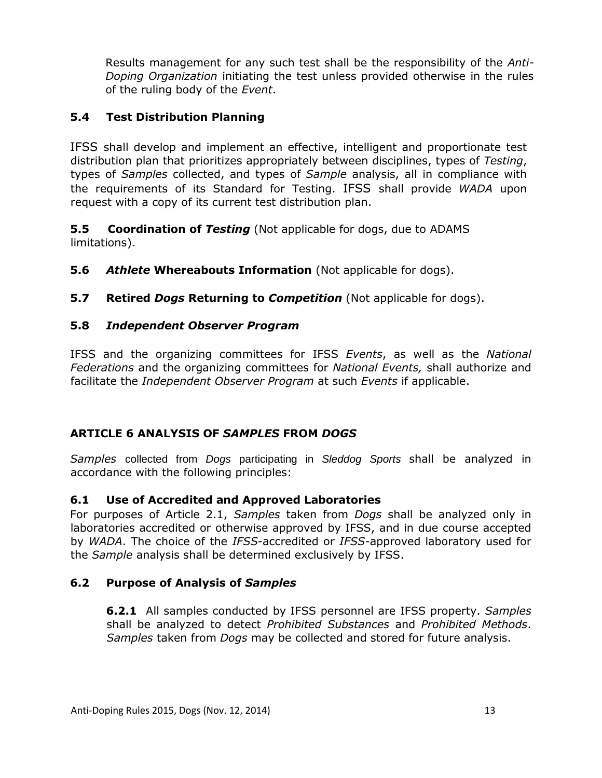Results management for any such test shall be the responsibility of the *Anti-Doping Organization* initiating the test unless provided otherwise in the rules of the ruling body of the *Event*.

## **5.4 Test Distribution Planning**

IFSS shall develop and implement an effective, intelligent and proportionate test distribution plan that prioritizes appropriately between disciplines, types of *Testing*, types of *Samples* collected, and types of *Sample* analysis, all in compliance with the requirements of its Standard for Testing. IFSS shall provide *WADA* upon request with a copy of its current test distribution plan.

**5.5 Coordination of** *Testing* (Not applicable for dogs, due to ADAMS limitations).

- **5.6** *Athlete* **Whereabouts Information** (Not applicable for dogs).
- **5.7 Retired** *Dogs* **Returning to** *Competition* (Not applicable for dogs).

#### **5.8** *Independent Observer Program*

IFSS and the organizing committees for IFSS *Events*, as well as the *National Federations* and the organizing committees for *National Events,* shall authorize and facilitate the *Independent Observer Program* at such *Events* if applicable.

## **ARTICLE 6 ANALYSIS OF** *SAMPLES* **FROM** *DOGS*

*Samples* collected from *Dogs* participating in *Sleddog Sports* shall be analyzed in accordance with the following principles:

#### **6.1 Use of Accredited and Approved Laboratories**

For purposes of Article 2.1, *Samples* taken from *Dogs* shall be analyzed only in laboratories accredited or otherwise approved by IFSS, and in due course accepted by *WADA*. The choice of the *IFSS*-accredited or *IFSS*-approved laboratory used for the *Sample* analysis shall be determined exclusively by IFSS.

#### **6.2 Purpose of Analysis of** *Samples*

**6.2.1** All samples conducted by IFSS personnel are IFSS property. *Samples* shall be analyzed to detect *Prohibited Substances* and *Prohibited Methods*. *Samples* taken from *Dogs* may be collected and stored for future analysis.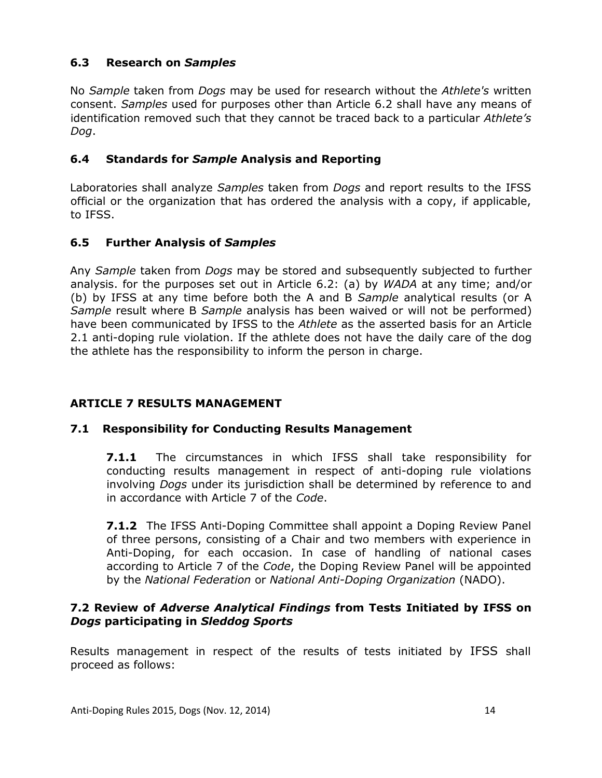## **6.3 Research on** *Samples*

No *Sample* taken from *Dogs* may be used for research without the *Athlete's* written consent. *Samples* used for purposes other than Article 6.2 shall have any means of identification removed such that they cannot be traced back to a particular *Athlete's Dog*.

#### **6.4 Standards for** *Sample* **Analysis and Reporting**

Laboratories shall analyze *Samples* taken from *Dogs* and report results to the IFSS official or the organization that has ordered the analysis with a copy, if applicable, to IFSS.

## **6.5 Further Analysis of** *Samples*

Any *Sample* taken from *Dogs* may be stored and subsequently subjected to further analysis. for the purposes set out in Article 6.2: (a) by *WADA* at any time; and/or (b) by IFSS at any time before both the A and B *Sample* analytical results (or A *Sample* result where B *Sample* analysis has been waived or will not be performed) have been communicated by IFSS to the *Athlete* as the asserted basis for an Article 2.1 anti-doping rule violation. If the athlete does not have the daily care of the dog the athlete has the responsibility to inform the person in charge.

## **ARTICLE 7 RESULTS MANAGEMENT**

#### **7.1 Responsibility for Conducting Results Management**

**7.1.1** The circumstances in which IFSS shall take responsibility for conducting results management in respect of anti-doping rule violations involving *Dogs* under its jurisdiction shall be determined by reference to and in accordance with Article 7 of the *Code*.

**7.1.2** The IFSS Anti-Doping Committee shall appoint a Doping Review Panel of three persons, consisting of a Chair and two members with experience in Anti-Doping, for each occasion. In case of handling of national cases according to Article 7 of the *Code*, the Doping Review Panel will be appointed by the *National Federation* or *National Anti-Doping Organization* (NADO).

#### **7.2 Review of** *Adverse Analytical Findings* **from Tests Initiated by IFSS on**  *Dogs* **participating in** *Sleddog Sports*

Results management in respect of the results of tests initiated by IFSS shall proceed as follows: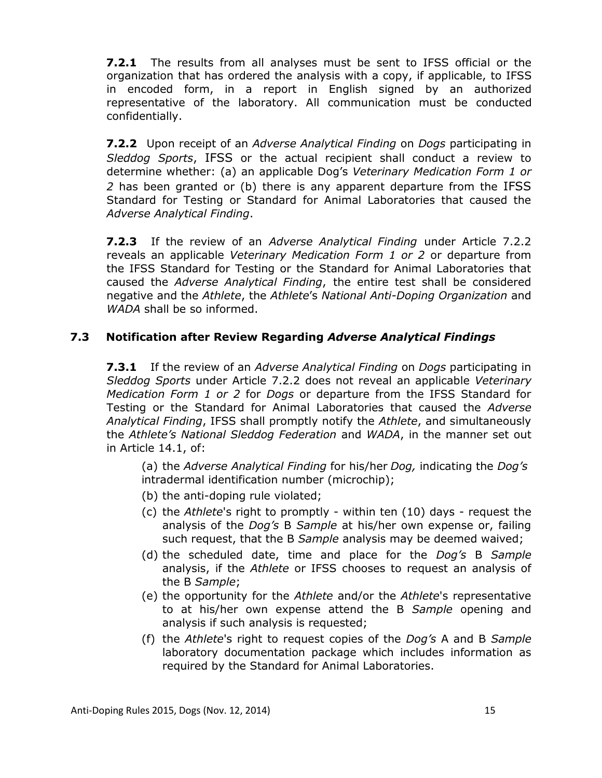**7.2.1** The results from all analyses must be sent to IFSS official or the organization that has ordered the analysis with a copy, if applicable, to IFSS in encoded form, in a report in English signed by an authorized representative of the laboratory. All communication must be conducted confidentially.

**7.2.2** Upon receipt of an *Adverse Analytical Finding* on *Dogs* participating in *Sleddog Sports*, IFSS or the actual recipient shall conduct a review to determine whether: (a) an applicable Dog's *Veterinary Medication Form 1 or 2* has been granted or (b) there is any apparent departure from the IFSS Standard for Testing or Standard for Animal Laboratories that caused the *Adverse Analytical Finding*.

**7.2.3** If the review of an *Adverse Analytical Finding* under Article 7.2.2 reveals an applicable *Veterinary Medication Form 1 or 2* or departure from the IFSS Standard for Testing or the Standard for Animal Laboratories that caused the *Adverse Analytical Finding*, the entire test shall be considered negative and the *Athlete*, the *Athlete*'s *National Anti-Doping Organization* and *WADA* shall be so informed.

## **7.3 Notification after Review Regarding** *Adverse Analytical Findings*

**7.3.1** If the review of an *Adverse Analytical Finding* on *Dogs* participating in *Sleddog Sports* under Article 7.2.2 does not reveal an applicable *Veterinary Medication Form 1 or 2* for *Dogs* or departure from the IFSS Standard for Testing or the Standard for Animal Laboratories that caused the *Adverse Analytical Finding*, IFSS shall promptly notify the *Athlete*, and simultaneously the *Athlete's National Sleddog Federation* and *WADA*, in the manner set out in Article 14.1, of:

(a) the *Adverse Analytical Finding* for his/her *Dog,* indicating the *Dog's*  intradermal identification number (microchip);

- (b) the anti-doping rule violated;
- (c) the *Athlete*'s right to promptly within ten (10) days request the analysis of the *Dog's* B *Sample* at his/her own expense or, failing such request, that the B *Sample* analysis may be deemed waived;
- (d) the scheduled date, time and place for the *Dog's* B *Sample* analysis, if the *Athlete* or IFSS chooses to request an analysis of the B *Sample*;
- (e) the opportunity for the *Athlete* and/or the *Athlete*'s representative to at his/her own expense attend the B *Sample* opening and analysis if such analysis is requested;
- (f) the *Athlete*'s right to request copies of the *Dog's* A and B *Sample* laboratory documentation package which includes information as required by the Standard for Animal Laboratories.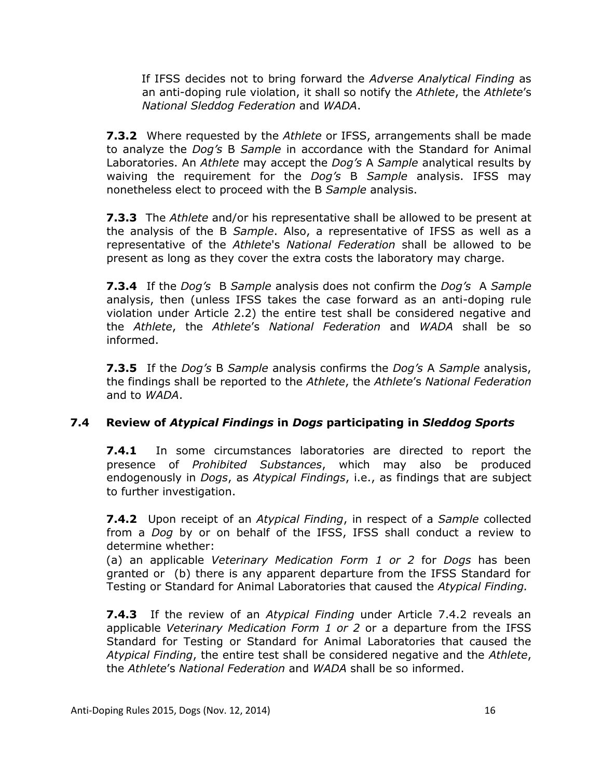If IFSS decides not to bring forward the *Adverse Analytical Finding* as an anti-doping rule violation, it shall so notify the *Athlete*, the *Athlete*'s *National Sleddog Federation* and *WADA*.

**7.3.2** Where requested by the *Athlete* or IFSS, arrangements shall be made to analyze the *Dog's* B *Sample* in accordance with the Standard for Animal Laboratories. An *Athlete* may accept the *Dog's* A *Sample* analytical results by waiving the requirement for the *Dog's* B *Sample* analysis. IFSS may nonetheless elect to proceed with the B *Sample* analysis.

**7.3.3** The *Athlete* and/or his representative shall be allowed to be present at the analysis of the B *Sample*. Also, a representative of IFSS as well as a representative of the *Athlete*'s *National Federation* shall be allowed to be present as long as they cover the extra costs the laboratory may charge.

**7.3.4** If the *Dog's* B *Sample* analysis does not confirm the *Dog's* A *Sample*  analysis, then (unless IFSS takes the case forward as an anti-doping rule violation under Article 2.2) the entire test shall be considered negative and the *Athlete*, the *Athlete*'s *National Federation* and *WADA* shall be so informed.

**7.3.5** If the *Dog's* B *Sample* analysis confirms the *Dog's* A *Sample* analysis, the findings shall be reported to the *Athlete*, the *Athlete*'s *National Federation* and to *WADA*.

## **7.4 Review of** *Atypical Findings* **in** *Dogs* **participating in** *Sleddog Sports*

**7.4.1** In some circumstances laboratories are directed to report the presence of *Prohibited Substances*, which may also be produced endogenously in *Dogs*, as *Atypical Findings*, i.e., as findings that are subject to further investigation.

**7.4.2** Upon receipt of an *Atypical Finding*, in respect of a *Sample* collected from a *Dog* by or on behalf of the IFSS, IFSS shall conduct a review to determine whether:

(a) an applicable *Veterinary Medication Form 1 or 2* for *Dogs* has been granted or (b) there is any apparent departure from the IFSS Standard for Testing or Standard for Animal Laboratories that caused the *Atypical Finding.*

**7.4.3** If the review of an *Atypical Finding* under Article 7.4.2 reveals an applicable *Veterinary Medication Form 1 or 2* or a departure from the IFSS Standard for Testing or Standard for Animal Laboratories that caused the *Atypical Finding*, the entire test shall be considered negative and the *Athlete*, the *Athlete*'s *National Federation* and *WADA* shall be so informed.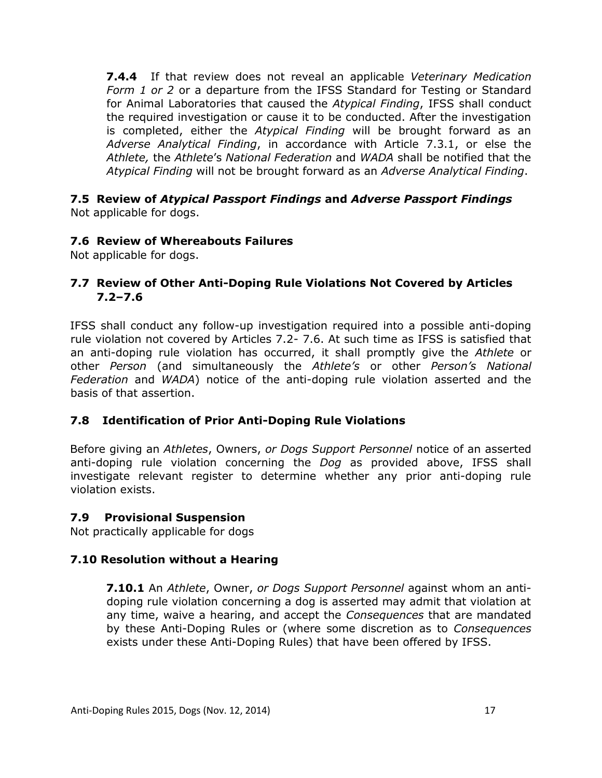**7.4.4** If that review does not reveal an applicable *Veterinary Medication Form 1 or 2* or a departure from the IFSS Standard for Testing or Standard for Animal Laboratories that caused the *Atypical Finding*, IFSS shall conduct the required investigation or cause it to be conducted. After the investigation is completed, either the *Atypical Finding* will be brought forward as an *Adverse Analytical Finding*, in accordance with Article 7.3.1, or else the *Athlete,* the *Athlete*'s *National Federation* and *WADA* shall be notified that the *Atypical Finding* will not be brought forward as an *Adverse Analytical Finding*.

#### **7.5 Review of** *Atypical Passport Findings* **and** *Adverse Passport Findings* Not applicable for dogs.

## **7.6 Review of Whereabouts Failures**

Not applicable for dogs.

## **7.7 Review of Other Anti-Doping Rule Violations Not Covered by Articles 7.2–7.6**

IFSS shall conduct any follow-up investigation required into a possible anti-doping rule violation not covered by Articles 7.2- 7.6. At such time as IFSS is satisfied that an anti-doping rule violation has occurred, it shall promptly give the *Athlete* or other *Person* (and simultaneously the *Athlete's* or other *Person's National Federation* and *WADA*) notice of the anti-doping rule violation asserted and the basis of that assertion.

## **7.8 Identification of Prior Anti-Doping Rule Violations**

Before giving an *Athletes*, Owners, *or Dogs Support Personnel* notice of an asserted anti-doping rule violation concerning the *Dog* as provided above, IFSS shall investigate relevant register to determine whether any prior anti-doping rule violation exists.

#### **7.9 Provisional Suspension**

Not practically applicable for dogs

#### **7.10 Resolution without a Hearing**

**7.10.1** An *Athlete*, Owner, *or Dogs Support Personnel* against whom an antidoping rule violation concerning a dog is asserted may admit that violation at any time, waive a hearing, and accept the *Consequences* that are mandated by these Anti-Doping Rules or (where some discretion as to *Consequences* exists under these Anti-Doping Rules) that have been offered by IFSS.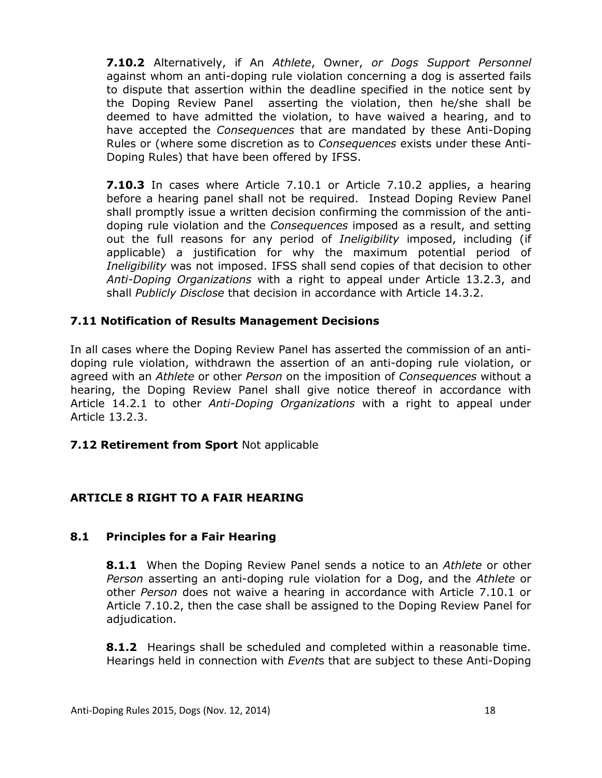**7.10.2** Alternatively, if An *Athlete*, Owner, *or Dogs Support Personnel* against whom an anti-doping rule violation concerning a dog is asserted fails to dispute that assertion within the deadline specified in the notice sent by the Doping Review Panel asserting the violation, then he/she shall be deemed to have admitted the violation, to have waived a hearing, and to have accepted the *Consequences* that are mandated by these Anti-Doping Rules or (where some discretion as to *Consequences* exists under these Anti-Doping Rules) that have been offered by IFSS.

**7.10.3** In cases where Article 7.10.1 or Article 7.10.2 applies, a hearing before a hearing panel shall not be required. Instead Doping Review Panel shall promptly issue a written decision confirming the commission of the antidoping rule violation and the *Consequences* imposed as a result, and setting out the full reasons for any period of *Ineligibility* imposed, including (if applicable) a justification for why the maximum potential period of *Ineligibility* was not imposed. IFSS shall send copies of that decision to other *Anti-Doping Organizations* with a right to appeal under Article 13.2.3, and shall *Publicly Disclose* that decision in accordance with Article 14.3.2.

#### **7.11 Notification of Results Management Decisions**

In all cases where the Doping Review Panel has asserted the commission of an antidoping rule violation, withdrawn the assertion of an anti-doping rule violation, or agreed with an *Athlete* or other *Person* on the imposition of *Consequences* without a hearing, the Doping Review Panel shall give notice thereof in accordance with Article 14.2.1 to other *Anti-Doping Organizations* with a right to appeal under Article 13.2.3.

#### **7.12 Retirement from Sport** Not applicable

#### **ARTICLE 8 RIGHT TO A FAIR HEARING**

#### **8.1 Principles for a Fair Hearing**

**8.1.1** When the Doping Review Panel sends a notice to an *Athlete* or other *Person* asserting an anti-doping rule violation for a Dog, and the *Athlete* or other *Person* does not waive a hearing in accordance with Article 7.10.1 or Article 7.10.2, then the case shall be assigned to the Doping Review Panel for adjudication.

**8.1.2** Hearings shall be scheduled and completed within a reasonable time. Hearings held in connection with *Event*s that are subject to these Anti-Doping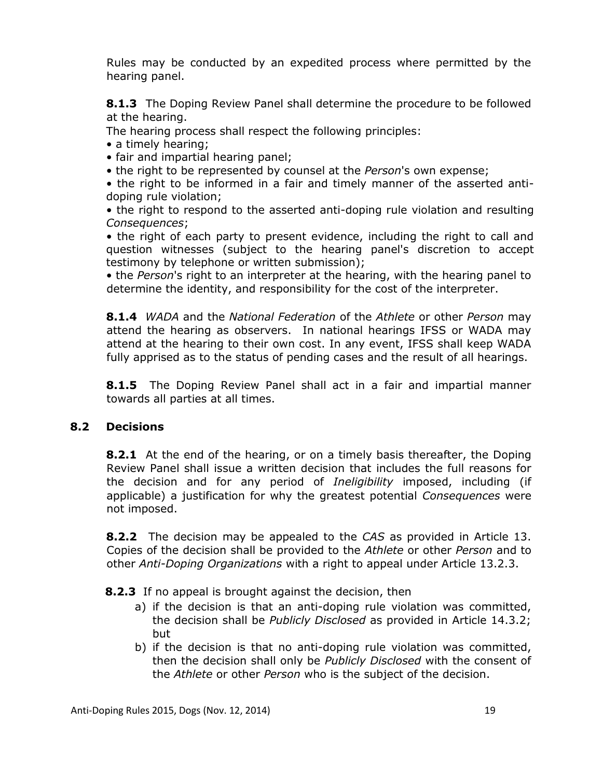Rules may be conducted by an expedited process where permitted by the hearing panel.

**8.1.3** The Doping Review Panel shall determine the procedure to be followed at the hearing.

The hearing process shall respect the following principles:

- a timely hearing;
- fair and impartial hearing panel;
- the right to be represented by counsel at the *Person*'s own expense;

• the right to be informed in a fair and timely manner of the asserted antidoping rule violation;

• the right to respond to the asserted anti-doping rule violation and resulting *Consequences*;

• the right of each party to present evidence, including the right to call and question witnesses (subject to the hearing panel's discretion to accept testimony by telephone or written submission);

• the *Person*'s right to an interpreter at the hearing, with the hearing panel to determine the identity, and responsibility for the cost of the interpreter.

**8.1.4** *WADA* and the *National Federation* of the *Athlete* or other *Person* may attend the hearing as observers. In national hearings IFSS or WADA may attend at the hearing to their own cost. In any event, IFSS shall keep WADA fully apprised as to the status of pending cases and the result of all hearings.

**8.1.5** The Doping Review Panel shall act in a fair and impartial manner towards all parties at all times.

## **8.2 Decisions**

**8.2.1** At the end of the hearing, or on a timely basis thereafter, the Doping Review Panel shall issue a written decision that includes the full reasons for the decision and for any period of *Ineligibility* imposed, including (if applicable) a justification for why the greatest potential *Consequences* were not imposed.

**8.2.2** The decision may be appealed to the *CAS* as provided in Article 13. Copies of the decision shall be provided to the *Athlete* or other *Person* and to other *Anti-Doping Organizations* with a right to appeal under Article 13.2.3.

**8.2.3** If no appeal is brought against the decision, then

- a) if the decision is that an anti-doping rule violation was committed, the decision shall be *Publicly Disclosed* as provided in Article 14.3.2; but
- b) if the decision is that no anti-doping rule violation was committed, then the decision shall only be *Publicly Disclosed* with the consent of the *Athlete* or other *Person* who is the subject of the decision.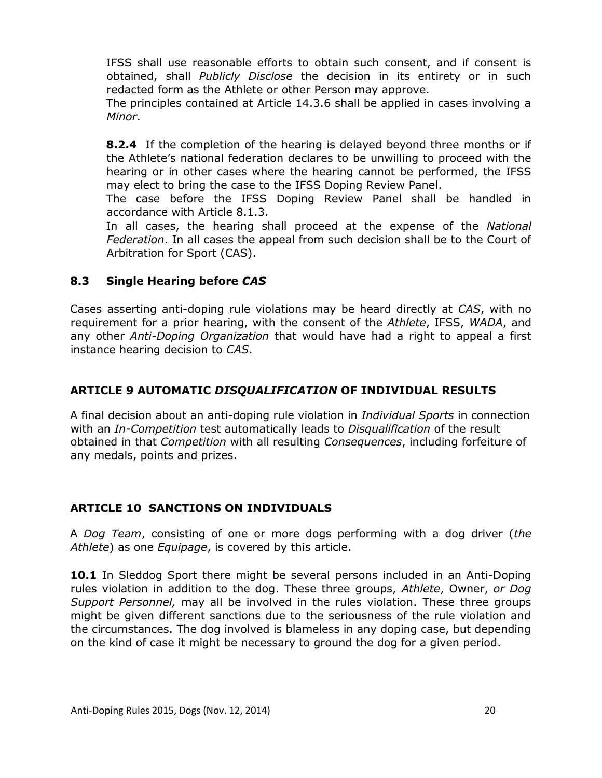IFSS shall use reasonable efforts to obtain such consent, and if consent is obtained, shall *Publicly Disclose* the decision in its entirety or in such redacted form as the Athlete or other Person may approve.

The principles contained at Article 14.3.6 shall be applied in cases involving a *Minor*.

**8.2.4** If the completion of the hearing is delayed beyond three months or if the Athlete's national federation declares to be unwilling to proceed with the hearing or in other cases where the hearing cannot be performed, the IFSS may elect to bring the case to the IFSS Doping Review Panel.

The case before the IFSS Doping Review Panel shall be handled in accordance with Article 8.1.3.

In all cases, the hearing shall proceed at the expense of the *National Federation*. In all cases the appeal from such decision shall be to the Court of Arbitration for Sport (CAS).

## **8.3 Single Hearing before** *CAS*

Cases asserting anti-doping rule violations may be heard directly at *CAS*, with no requirement for a prior hearing, with the consent of the *Athlete*, IFSS, *WADA*, and any other *Anti-Doping Organization* that would have had a right to appeal a first instance hearing decision to *CAS*.

## **ARTICLE 9 AUTOMATIC** *DISQUALIFICATION* **OF INDIVIDUAL RESULTS**

A final decision about an anti-doping rule violation in *Individual Sports* in connection with an *In-Competition* test automatically leads to *Disqualification* of the result obtained in that *Competition* with all resulting *Consequences*, including forfeiture of any medals, points and prizes.

#### **ARTICLE 10 SANCTIONS ON INDIVIDUALS**

A *Dog Team*, consisting of one or more dogs performing with a dog driver (*the Athlete*) as one *Equipage*, is covered by this article.

**10.1** In Sleddog Sport there might be several persons included in an Anti-Doping rules violation in addition to the dog. These three groups, *Athlete*, Owner, *or Dog Support Personnel,* may all be involved in the rules violation. These three groups might be given different sanctions due to the seriousness of the rule violation and the circumstances. The dog involved is blameless in any doping case, but depending on the kind of case it might be necessary to ground the dog for a given period.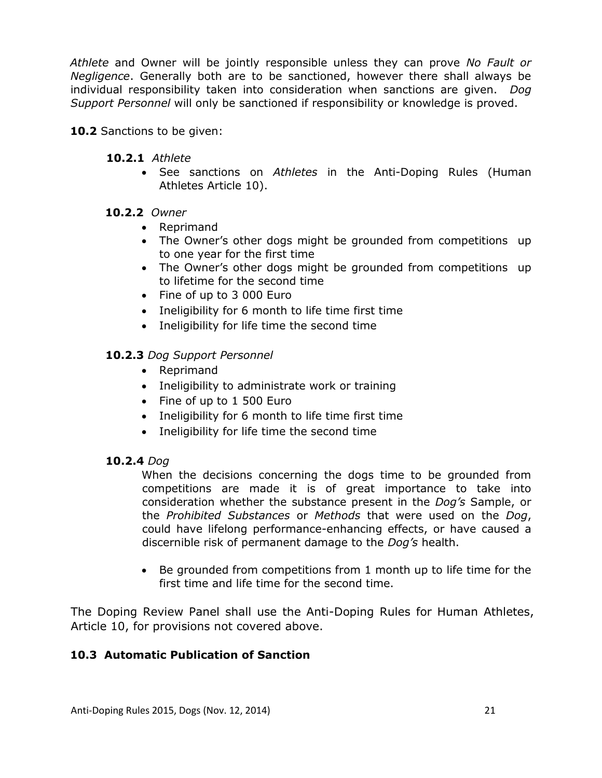*Athlete* and Owner will be jointly responsible unless they can prove *No Fault or Negligence*. Generally both are to be sanctioned, however there shall always be individual responsibility taken into consideration when sanctions are given. *Dog Support Personnel* will only be sanctioned if responsibility or knowledge is proved.

**10.2** Sanctions to be given:

- **10.2.1** *Athlete* 
	- See sanctions on *Athletes* in the Anti-Doping Rules (Human Athletes Article 10).

## **10.2.2** *Owner*

- Reprimand
- The Owner's other dogs might be grounded from competitions up to one year for the first time
- The Owner's other dogs might be grounded from competitions up to lifetime for the second time
- Fine of up to 3 000 Euro
- Ineligibility for 6 month to life time first time
- Ineligibility for life time the second time

## **10.2.3** *Dog Support Personnel*

- Reprimand
- Ineligibility to administrate work or training
- Fine of up to 1 500 Euro
- Ineligibility for 6 month to life time first time
- Ineligibility for life time the second time

#### **10.2.4** *Dog*

When the decisions concerning the dogs time to be grounded from competitions are made it is of great importance to take into consideration whether the substance present in the *Dog's* Sample, or the *Prohibited Substances* or *Methods* that were used on the *Dog*, could have lifelong performance-enhancing effects, or have caused a discernible risk of permanent damage to the *Dog's* health.

 Be grounded from competitions from 1 month up to life time for the first time and life time for the second time.

The Doping Review Panel shall use the Anti-Doping Rules for Human Athletes, Article 10, for provisions not covered above.

#### **10.3 Automatic Publication of Sanction**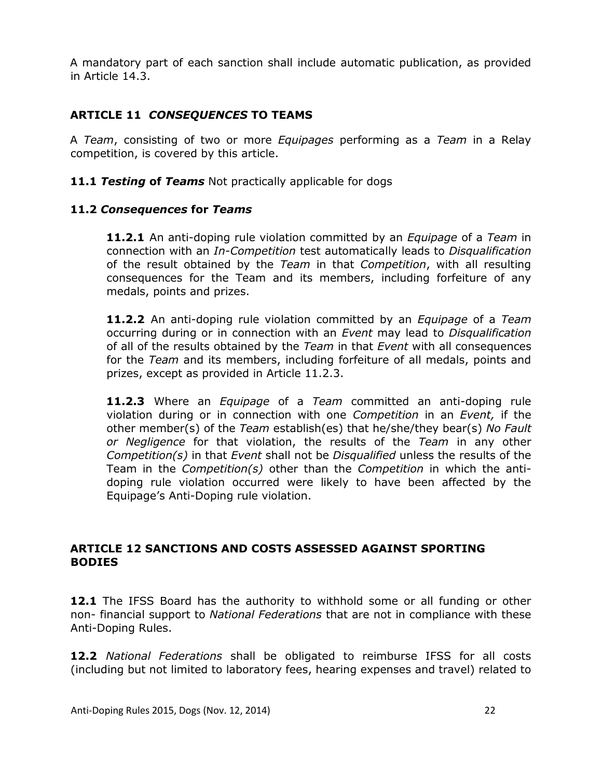A mandatory part of each sanction shall include automatic publication, as provided in Article 14.3.

## **ARTICLE 11** *CONSEQUENCES* **TO TEAMS**

A *Team*, consisting of two or more *Equipages* performing as a *Team* in a Relay competition, is covered by this article.

**11.1** *Testing* **of** *Teams* Not practically applicable for dogs

#### **11.2** *Consequences* **for** *Teams*

**11.2.1** An anti-doping rule violation committed by an *Equipage* of a *Team* in connection with an *In-Competition* test automatically leads to *Disqualification* of the result obtained by the *Team* in that *Competition*, with all resulting consequences for the Team and its members, including forfeiture of any medals, points and prizes.

**11.2.2** An anti-doping rule violation committed by an *Equipage* of a *Team* occurring during or in connection with an *Event* may lead to *Disqualification* of all of the results obtained by the *Team* in that *Event* with all consequences for the *Team* and its members, including forfeiture of all medals, points and prizes, except as provided in Article 11.2.3.

**11.2.3** Where an *Equipage* of a *Team* committed an anti-doping rule violation during or in connection with one *Competition* in an *Event,* if the other member(s) of the *Team* establish(es) that he/she/they bear(s) *No Fault or Negligence* for that violation, the results of the *Team* in any other *Competition(s)* in that *Event* shall not be *Disqualified* unless the results of the Team in the *Competition(s)* other than the *Competition* in which the antidoping rule violation occurred were likely to have been affected by the Equipage's Anti-Doping rule violation.

#### **ARTICLE 12 SANCTIONS AND COSTS ASSESSED AGAINST SPORTING BODIES**

**12.1** The IFSS Board has the authority to withhold some or all funding or other non- financial support to *National Federations* that are not in compliance with these Anti-Doping Rules.

**12.2** *National Federations* shall be obligated to reimburse IFSS for all costs (including but not limited to laboratory fees, hearing expenses and travel) related to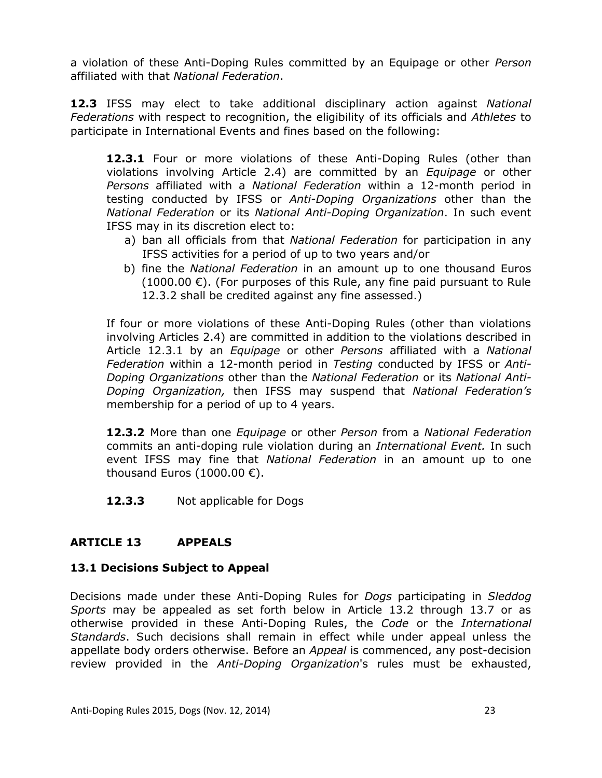a violation of these Anti-Doping Rules committed by an Equipage or other *Person* affiliated with that *National Federation*.

**12.3** IFSS may elect to take additional disciplinary action against *National Federations* with respect to recognition, the eligibility of its officials and *Athletes* to participate in International Events and fines based on the following:

**12.3.1** Four or more violations of these Anti-Doping Rules (other than violations involving Article 2.4) are committed by an *Equipage* or other *Persons* affiliated with a *National Federation* within a 12-month period in testing conducted by IFSS or *Anti-Doping Organizations* other than the *National Federation* or its *National Anti-Doping Organization*. In such event IFSS may in its discretion elect to:

- a) ban all officials from that *National Federation* for participation in any IFSS activities for a period of up to two years and/or
- b) fine the *National Federation* in an amount up to one thousand Euros (1000.00  $\epsilon$ ). (For purposes of this Rule, any fine paid pursuant to Rule 12.3.2 shall be credited against any fine assessed.)

If four or more violations of these Anti-Doping Rules (other than violations involving Articles 2.4) are committed in addition to the violations described in Article 12.3.1 by an *Equipage* or other *Persons* affiliated with a *National Federation* within a 12-month period in *Testing* conducted by IFSS or *Anti-Doping Organizations* other than the *National Federation* or its *National Anti-Doping Organization,* then IFSS may suspend that *National Federation's* membership for a period of up to 4 years.

**12.3.2** More than one *Equipage* or other *Person* from a *National Federation* commits an anti-doping rule violation during an *International Event.* In such event IFSS may fine that *National Federation* in an amount up to one thousand Euros (1000.00  $\epsilon$ ).

**12.3.3** Not applicable for Dogs

## **ARTICLE 13 APPEALS**

#### **13.1 Decisions Subject to Appeal**

Decisions made under these Anti-Doping Rules for *Dogs* participating in *Sleddog Sports* may be appealed as set forth below in Article 13.2 through 13.7 or as otherwise provided in these Anti-Doping Rules, the *Code* or the *International Standards*. Such decisions shall remain in effect while under appeal unless the appellate body orders otherwise. Before an *Appeal* is commenced, any post-decision review provided in the *Anti-Doping Organization*'s rules must be exhausted,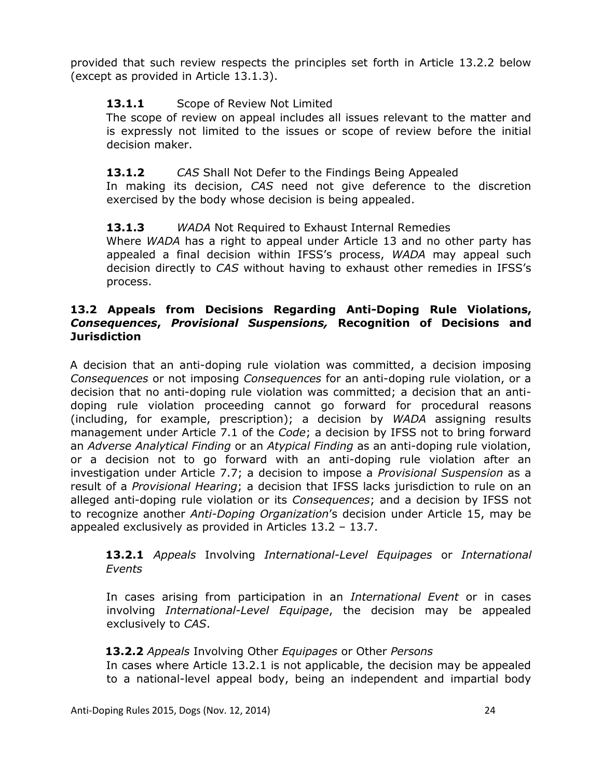provided that such review respects the principles set forth in Article 13.2.2 below (except as provided in Article 13.1.3).

## 13.1.1 Scope of Review Not Limited

The scope of review on appeal includes all issues relevant to the matter and is expressly not limited to the issues or scope of review before the initial decision maker.

## **13.1.2** *CAS* Shall Not Defer to the Findings Being Appealed

In making its decision, *CAS* need not give deference to the discretion exercised by the body whose decision is being appealed.

## **13.1.3** *WADA* Not Required to Exhaust Internal Remedies

Where *WADA* has a right to appeal under Article 13 and no other party has appealed a final decision within IFSS's process, *WADA* may appeal such decision directly to *CAS* without having to exhaust other remedies in IFSS's process.

#### **13.2 Appeals from Decisions Regarding Anti-Doping Rule Violations,**  *Consequences***,** *Provisional Suspensions,* **Recognition of Decisions and Jurisdiction**

A decision that an anti-doping rule violation was committed, a decision imposing *Consequences* or not imposing *Consequences* for an anti-doping rule violation, or a decision that no anti-doping rule violation was committed; a decision that an antidoping rule violation proceeding cannot go forward for procedural reasons (including, for example, prescription); a decision by *WADA* assigning results management under Article 7.1 of the *Code*; a decision by IFSS not to bring forward an *Adverse Analytical Finding* or an *Atypical Finding* as an anti-doping rule violation, or a decision not to go forward with an anti-doping rule violation after an investigation under Article 7.7; a decision to impose a *Provisional Suspension* as a result of a *Provisional Hearing*; a decision that IFSS lacks jurisdiction to rule on an alleged anti-doping rule violation or its *Consequences*; and a decision by IFSS not to recognize another *Anti-Doping Organization*'s decision under Article 15, may be appealed exclusively as provided in Articles 13.2 – 13.7.

## **13.2.1** *Appeals* Involving *International-Level Equipages* or *International Events*

In cases arising from participation in an *International Event* or in cases involving *International-Level Equipage*, the decision may be appealed exclusively to *CAS*.

#### **13.2.2** *Appeals* Involving Other *Equipages* or Other *Persons*

In cases where Article 13.2.1 is not applicable, the decision may be appealed to a national-level appeal body, being an independent and impartial body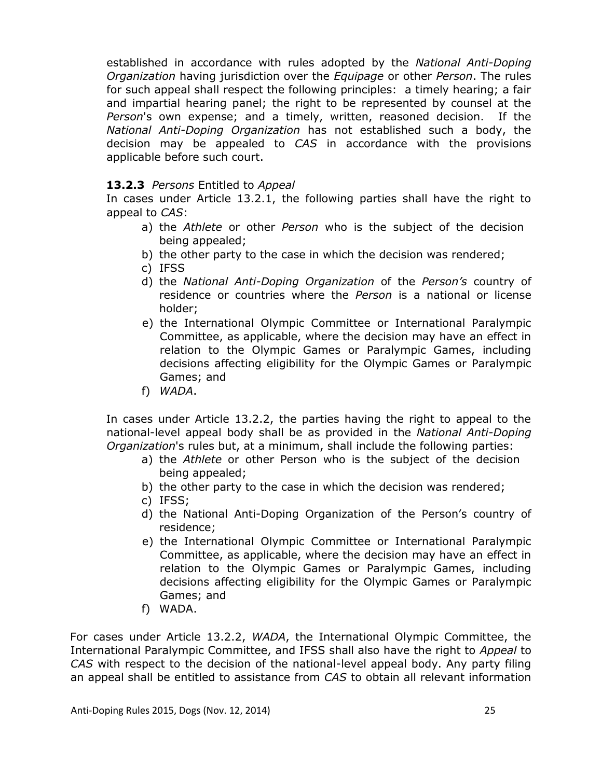established in accordance with rules adopted by the *National Anti-Doping Organization* having jurisdiction over the *Equipage* or other *Person*. The rules for such appeal shall respect the following principles: a timely hearing; a fair and impartial hearing panel; the right to be represented by counsel at the *Person*'s own expense; and a timely, written, reasoned decision. If the *National Anti-Doping Organization* has not established such a body, the decision may be appealed to *CAS* in accordance with the provisions applicable before such court.

#### **13.2.3** *Persons* Entitled to *Appeal*

In cases under Article 13.2.1, the following parties shall have the right to appeal to *CAS*:

- a) the *Athlete* or other *Person* who is the subject of the decision being appealed;
- b) the other party to the case in which the decision was rendered;
- c) IFSS
- d) the *National Anti-Doping Organization* of the *Person's* country of residence or countries where the *Person* is a national or license holder;
- e) the International Olympic Committee or International Paralympic Committee, as applicable, where the decision may have an effect in relation to the Olympic Games or Paralympic Games, including decisions affecting eligibility for the Olympic Games or Paralympic Games; and
- f) *WADA*.

In cases under Article 13.2.2, the parties having the right to appeal to the national-level appeal body shall be as provided in the *National Anti-Doping Organization*'s rules but, at a minimum, shall include the following parties:

- a) the *Athlete* or other Person who is the subject of the decision being appealed;
- b) the other party to the case in which the decision was rendered;
- c) IFSS;
- d) the National Anti-Doping Organization of the Person's country of residence;
- e) the International Olympic Committee or International Paralympic Committee, as applicable, where the decision may have an effect in relation to the Olympic Games or Paralympic Games, including decisions affecting eligibility for the Olympic Games or Paralympic Games; and
- f) WADA.

For cases under Article 13.2.2, *WADA*, the International Olympic Committee, the International Paralympic Committee, and IFSS shall also have the right to *Appeal* to *CAS* with respect to the decision of the national-level appeal body. Any party filing an appeal shall be entitled to assistance from *CAS* to obtain all relevant information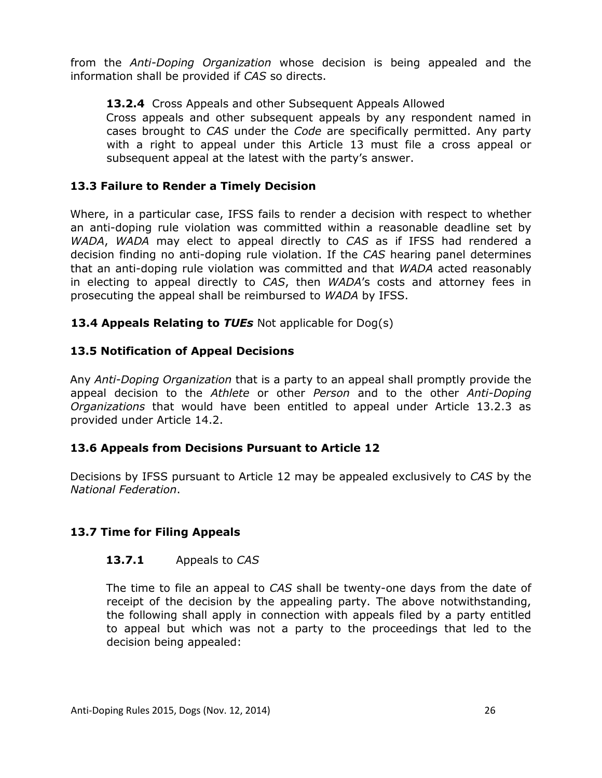from the *Anti-Doping Organization* whose decision is being appealed and the information shall be provided if *CAS* so directs.

## **13.2.4** Cross Appeals and other Subsequent Appeals Allowed

Cross appeals and other subsequent appeals by any respondent named in cases brought to *CAS* under the *Code* are specifically permitted. Any party with a right to appeal under this Article 13 must file a cross appeal or subsequent appeal at the latest with the party's answer.

## **13.3 Failure to Render a Timely Decision**

Where, in a particular case, IFSS fails to render a decision with respect to whether an anti-doping rule violation was committed within a reasonable deadline set by *WADA*, *WADA* may elect to appeal directly to *CAS* as if IFSS had rendered a decision finding no anti-doping rule violation. If the *CAS* hearing panel determines that an anti-doping rule violation was committed and that *WADA* acted reasonably in electing to appeal directly to *CAS*, then *WADA*'s costs and attorney fees in prosecuting the appeal shall be reimbursed to *WADA* by IFSS.

## **13.4 Appeals Relating to** *TUEs* Not applicable for Dog(s)

## **13.5 Notification of Appeal Decisions**

Any *Anti-Doping Organization* that is a party to an appeal shall promptly provide the appeal decision to the *Athlete* or other *Person* and to the other *Anti-Doping Organizations* that would have been entitled to appeal under Article 13.2.3 as provided under Article 14.2.

## **13.6 Appeals from Decisions Pursuant to Article 12**

Decisions by IFSS pursuant to Article 12 may be appealed exclusively to *CAS* by the *National Federation*.

## **13.7 Time for Filing Appeals**

## **13.7.1** Appeals to *CAS*

The time to file an appeal to *CAS* shall be twenty-one days from the date of receipt of the decision by the appealing party. The above notwithstanding, the following shall apply in connection with appeals filed by a party entitled to appeal but which was not a party to the proceedings that led to the decision being appealed: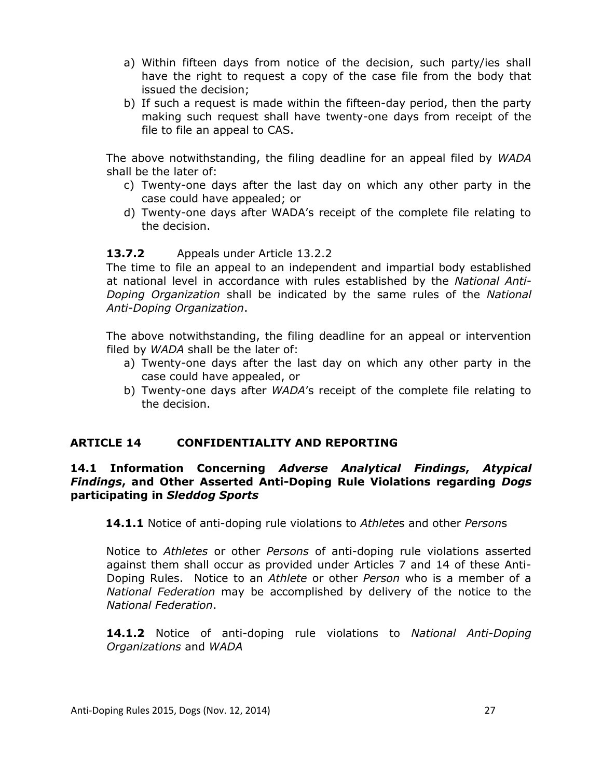- a) Within fifteen days from notice of the decision, such party/ies shall have the right to request a copy of the case file from the body that issued the decision;
- b) If such a request is made within the fifteen-day period, then the party making such request shall have twenty-one days from receipt of the file to file an appeal to CAS.

The above notwithstanding, the filing deadline for an appeal filed by *WADA* shall be the later of:

- c) Twenty-one days after the last day on which any other party in the case could have appealed; or
- d) Twenty-one days after WADA's receipt of the complete file relating to the decision.

## **13.7.2** Appeals under Article 13.2.2

The time to file an appeal to an independent and impartial body established at national level in accordance with rules established by the *National Anti-Doping Organization* shall be indicated by the same rules of the *National Anti-Doping Organization*.

The above notwithstanding, the filing deadline for an appeal or intervention filed by *WADA* shall be the later of:

- a) Twenty-one days after the last day on which any other party in the case could have appealed, or
- b) Twenty-one days after *WADA*'s receipt of the complete file relating to the decision.

## **ARTICLE 14 CONFIDENTIALITY AND REPORTING**

#### **14.1 Information Concerning** *Adverse Analytical Findings***,** *Atypical Findings***, and Other Asserted Anti-Doping Rule Violations regarding** *Dogs*  **participating in** *Sleddog Sports*

**14.1.1** Notice of anti-doping rule violations to *Athlete*s and other *Person*s

Notice to *Athletes* or other *Persons* of anti-doping rule violations asserted against them shall occur as provided under Articles 7 and 14 of these Anti-Doping Rules. Notice to an *Athlete* or other *Person* who is a member of a *National Federation* may be accomplished by delivery of the notice to the *National Federation*.

**14.1.2** Notice of anti-doping rule violations to *National Anti-Doping Organizations* and *WADA*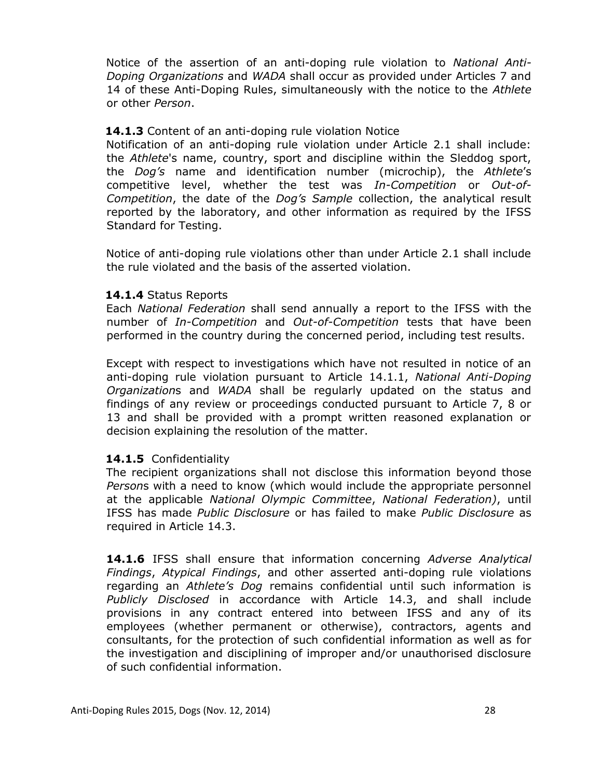Notice of the assertion of an anti-doping rule violation to *National Anti-Doping Organizations* and *WADA* shall occur as provided under Articles 7 and 14 of these Anti-Doping Rules, simultaneously with the notice to the *Athlete* or other *Person*.

#### **14.1.3** Content of an anti-doping rule violation Notice

Notification of an anti-doping rule violation under Article 2.1 shall include: the *Athlete*'s name, country, sport and discipline within the Sleddog sport, the *Dog's* name and identification number (microchip), the *Athlete*'s competitive level, whether the test was *In-Competition* or *Out-of-Competition*, the date of the *Dog's Sample* collection, the analytical result reported by the laboratory, and other information as required by the IFSS Standard for Testing.

Notice of anti-doping rule violations other than under Article 2.1 shall include the rule violated and the basis of the asserted violation.

#### **14.1.4** Status Reports

Each *National Federation* shall send annually a report to the IFSS with the number of *In-Competition* and *Out-of-Competition* tests that have been performed in the country during the concerned period, including test results.

Except with respect to investigations which have not resulted in notice of an anti-doping rule violation pursuant to Article 14.1.1, *National Anti-Doping Organization*s and *WADA* shall be regularly updated on the status and findings of any review or proceedings conducted pursuant to Article 7, 8 or 13 and shall be provided with a prompt written reasoned explanation or decision explaining the resolution of the matter.

#### **14.1.5** Confidentiality

The recipient organizations shall not disclose this information beyond those *Person*s with a need to know (which would include the appropriate personnel at the applicable *National Olympic Committee*, *National Federation)*, until IFSS has made *Public Disclosure* or has failed to make *Public Disclosure* as required in Article 14.3.

**14.1.6** IFSS shall ensure that information concerning *Adverse Analytical Findings*, *Atypical Findings*, and other asserted anti-doping rule violations regarding an *Athlete's Dog* remains confidential until such information is *Publicly Disclosed* in accordance with Article 14.3, and shall include provisions in any contract entered into between IFSS and any of its employees (whether permanent or otherwise), contractors, agents and consultants, for the protection of such confidential information as well as for the investigation and disciplining of improper and/or unauthorised disclosure of such confidential information.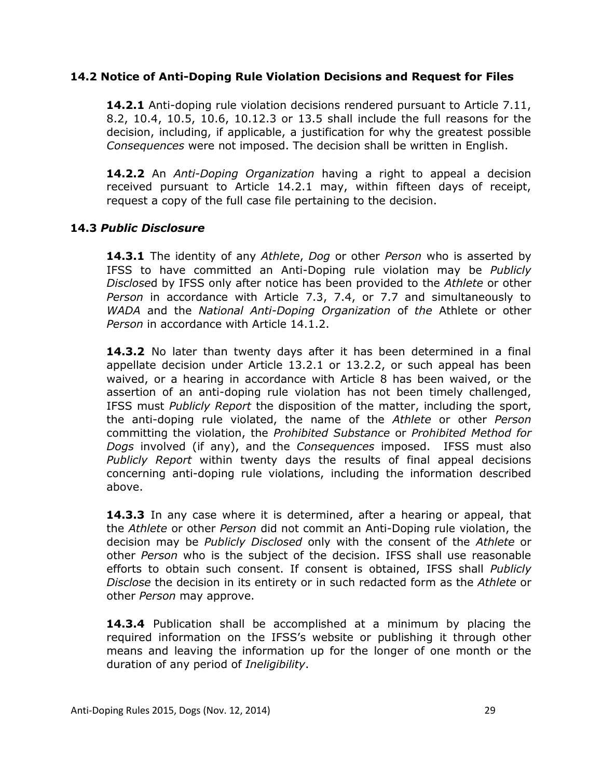#### **14.2 Notice of Anti-Doping Rule Violation Decisions and Request for Files**

**14.2.1** Anti-doping rule violation decisions rendered pursuant to Article 7.11, 8.2, 10.4, 10.5, 10.6, 10.12.3 or 13.5 shall include the full reasons for the decision, including, if applicable, a justification for why the greatest possible *Consequences* were not imposed. The decision shall be written in English.

**14.2.2** An *Anti-Doping Organization* having a right to appeal a decision received pursuant to Article 14.2.1 may, within fifteen days of receipt, request a copy of the full case file pertaining to the decision.

#### **14.3** *Public Disclosure*

**14.3.1** The identity of any *Athlete*, *Dog* or other *Person* who is asserted by IFSS to have committed an Anti-Doping rule violation may be *Publicly Disclose*d by IFSS only after notice has been provided to the *Athlete* or other *Person* in accordance with Article 7.3, 7.4, or 7.7 and simultaneously to *WADA* and the *National Anti-Doping Organization* of *the* Athlete or other *Person* in accordance with Article 14.1.2.

**14.3.2** No later than twenty days after it has been determined in a final appellate decision under Article 13.2.1 or 13.2.2, or such appeal has been waived, or a hearing in accordance with Article 8 has been waived, or the assertion of an anti-doping rule violation has not been timely challenged, IFSS must *Publicly Report* the disposition of the matter, including the sport, the anti-doping rule violated, the name of the *Athlete* or other *Person* committing the violation, the *Prohibited Substance* or *Prohibited Method for Dogs* involved (if any), and the *Consequences* imposed. IFSS must also *Publicly Report* within twenty days the results of final appeal decisions concerning anti-doping rule violations, including the information described above.

**14.3.3** In any case where it is determined, after a hearing or appeal, that the *Athlete* or other *Person* did not commit an Anti-Doping rule violation, the decision may be *Publicly Disclosed* only with the consent of the *Athlete* or other *Person* who is the subject of the decision. IFSS shall use reasonable efforts to obtain such consent. If consent is obtained, IFSS shall *Publicly Disclose* the decision in its entirety or in such redacted form as the *Athlete* or other *Person* may approve.

**14.3.4** Publication shall be accomplished at a minimum by placing the required information on the IFSS's website or publishing it through other means and leaving the information up for the longer of one month or the duration of any period of *Ineligibility*.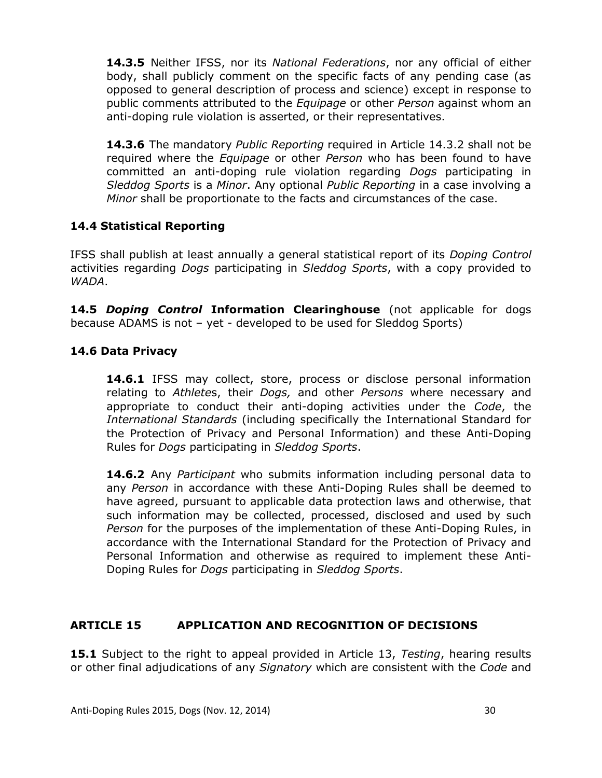**14.3.5** Neither IFSS, nor its *National Federations*, nor any official of either body, shall publicly comment on the specific facts of any pending case (as opposed to general description of process and science) except in response to public comments attributed to the *Equipage* or other *Person* against whom an anti-doping rule violation is asserted, or their representatives.

**14.3.6** The mandatory *Public Reporting* required in Article 14.3.2 shall not be required where the *Equipage* or other *Person* who has been found to have committed an anti-doping rule violation regarding *Dogs* participating in *Sleddog Sports* is a *Minor*. Any optional *Public Reporting* in a case involving a *Minor* shall be proportionate to the facts and circumstances of the case.

## **14.4 Statistical Reporting**

IFSS shall publish at least annually a general statistical report of its *Doping Control* activities regarding *Dogs* participating in *Sleddog Sports*, with a copy provided to *WADA*.

**14.5** *Doping Control* **Information Clearinghouse** (not applicable for dogs because ADAMS is not – yet - developed to be used for Sleddog Sports)

## **14.6 Data Privacy**

**14.6.1** IFSS may collect, store, process or disclose personal information relating to *Athlete*s, their *Dogs,* and other *Persons* where necessary and appropriate to conduct their anti-doping activities under the *Code*, the *International Standards* (including specifically the International Standard for the Protection of Privacy and Personal Information) and these Anti-Doping Rules for *Dogs* participating in *Sleddog Sports*.

**14.6.2** Any *Participant* who submits information including personal data to any *Person* in accordance with these Anti-Doping Rules shall be deemed to have agreed, pursuant to applicable data protection laws and otherwise, that such information may be collected, processed, disclosed and used by such *Person* for the purposes of the implementation of these Anti-Doping Rules, in accordance with the International Standard for the Protection of Privacy and Personal Information and otherwise as required to implement these Anti-Doping Rules for *Dogs* participating in *Sleddog Sports*.

#### **ARTICLE 15 APPLICATION AND RECOGNITION OF DECISIONS**

**15.1** Subject to the right to appeal provided in Article 13, *Testing*, hearing results or other final adjudications of any *Signatory* which are consistent with the *Code* and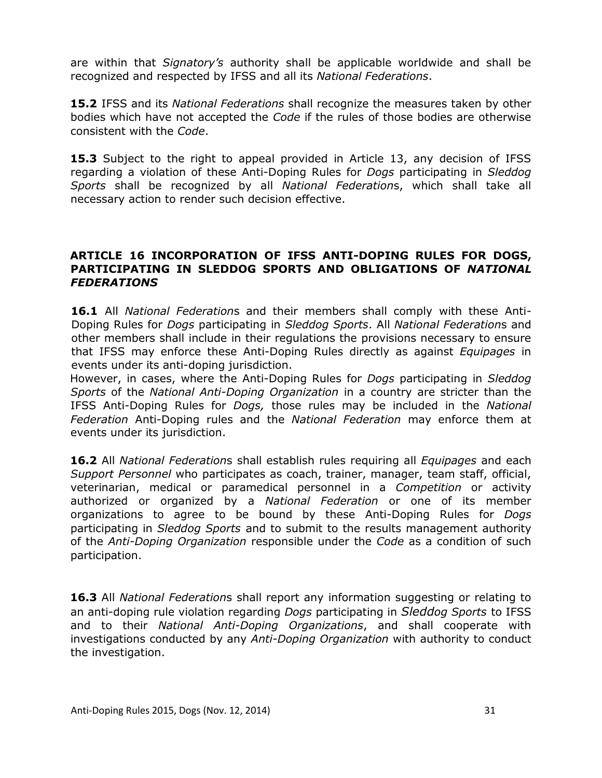are within that *Signatory's* authority shall be applicable worldwide and shall be recognized and respected by IFSS and all its *National Federations*.

**15.2** IFSS and its *National Federations* shall recognize the measures taken by other bodies which have not accepted the *Code* if the rules of those bodies are otherwise consistent with the *Code*.

**15.3** Subject to the right to appeal provided in Article 13, any decision of IFSS regarding a violation of these Anti-Doping Rules for *Dogs* participating in *Sleddog Sports* shall be recognized by all *National Federation*s, which shall take all necessary action to render such decision effective.

#### **ARTICLE 16 INCORPORATION OF IFSS ANTI-DOPING RULES FOR DOGS, PARTICIPATING IN SLEDDOG SPORTS AND OBLIGATIONS OF** *NATIONAL FEDERATIONS*

**16.1** All *National Federation*s and their members shall comply with these Anti-Doping Rules for *Dogs* participating in *Sleddog Sports*. All *National Federation*s and other members shall include in their regulations the provisions necessary to ensure that IFSS may enforce these Anti-Doping Rules directly as against *Equipages* in events under its anti-doping jurisdiction.

However, in cases, where the Anti-Doping Rules for *Dogs* participating in *Sleddog Sports* of the *National Anti-Doping Organization* in a country are stricter than the IFSS Anti-Doping Rules for *Dogs,* those rules may be included in the *National Federation* Anti-Doping rules and the *National Federation* may enforce them at events under its jurisdiction.

**16.2** All *National Federation*s shall establish rules requiring all *Equipages* and each *Support Personnel* who participates as coach, trainer, manager, team staff, official, veterinarian, medical or paramedical personnel in a *Competition* or activity authorized or organized by a *National Federation* or one of its member organizations to agree to be bound by these Anti-Doping Rules for *Dogs* participating in *Sleddog Sports* and to submit to the results management authority of the *Anti-Doping Organization* responsible under the *Code* as a condition of such participation.

**16.3** All *National Federation*s shall report any information suggesting or relating to an anti-doping rule violation regarding *Dogs* participating in *Sleddog Sports* to IFSS and to their *National Anti-Doping Organizations*, and shall cooperate with investigations conducted by any *Anti-Doping Organization* with authority to conduct the investigation.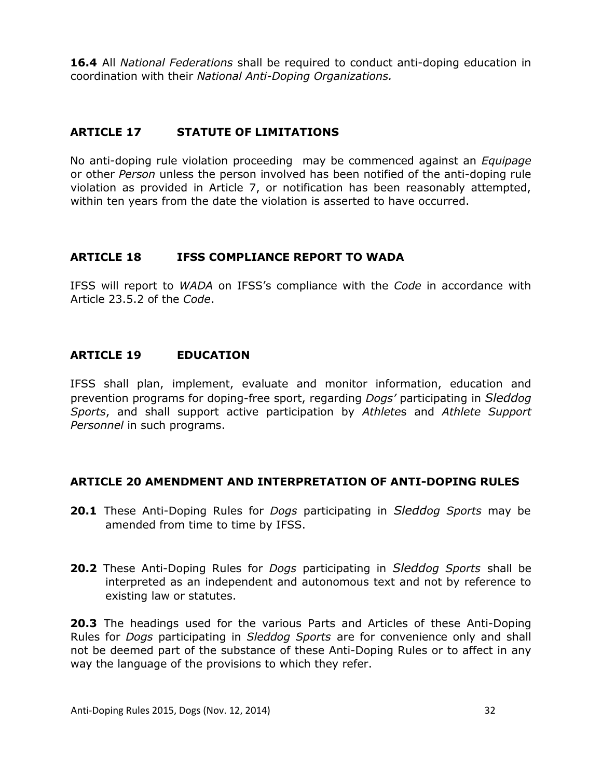**16.4** All *National Federations* shall be required to conduct anti-doping education in coordination with their *National Anti-Doping Organizations.*

## **ARTICLE 17 STATUTE OF LIMITATIONS**

No anti-doping rule violation proceeding may be commenced against an *Equipage* or other *Person* unless the person involved has been notified of the anti-doping rule violation as provided in Article 7, or notification has been reasonably attempted, within ten years from the date the violation is asserted to have occurred.

## **ARTICLE 18 IFSS COMPLIANCE REPORT TO WADA**

IFSS will report to *WADA* on IFSS's compliance with the *Code* in accordance with Article 23.5.2 of the *Code*.

#### **ARTICLE 19 EDUCATION**

IFSS shall plan, implement, evaluate and monitor information, education and prevention programs for doping-free sport, regarding *Dogs'* participating in *Sleddog Sports*, and shall support active participation by *Athlete*s and *Athlete Support Personnel* in such programs.

## **ARTICLE 20 AMENDMENT AND INTERPRETATION OF ANTI-DOPING RULES**

- **20.1** These Anti-Doping Rules for *Dogs* participating in *Sleddog Sports* may be amended from time to time by IFSS.
- **20.2** These Anti-Doping Rules for *Dogs* participating in *Sleddog Sports* shall be interpreted as an independent and autonomous text and not by reference to existing law or statutes.

**20.3** The headings used for the various Parts and Articles of these Anti-Doping Rules for *Dogs* participating in *Sleddog Sports* are for convenience only and shall not be deemed part of the substance of these Anti-Doping Rules or to affect in any way the language of the provisions to which they refer.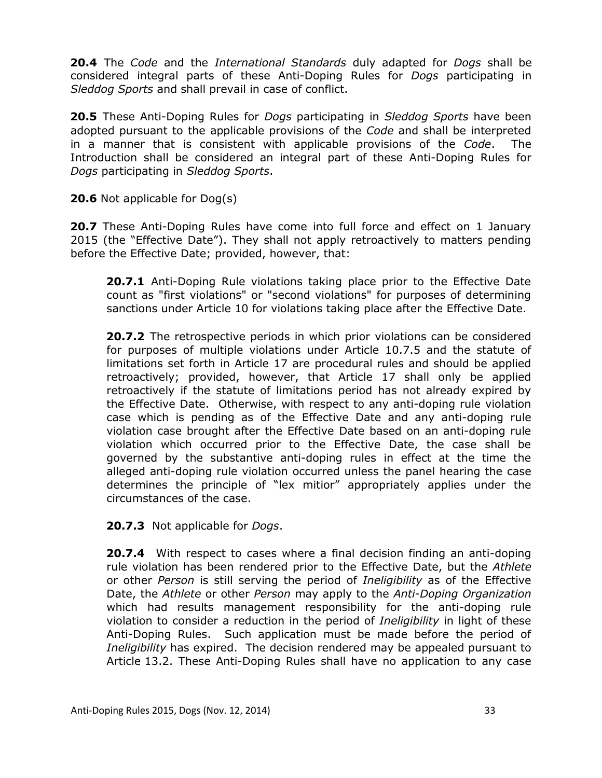**20.4** The *Code* and the *International Standards* duly adapted for *Dogs* shall be considered integral parts of these Anti-Doping Rules for *Dogs* participating in *Sleddog Sports* and shall prevail in case of conflict.

**20.5** These Anti-Doping Rules for *Dogs* participating in *Sleddog Sports* have been adopted pursuant to the applicable provisions of the *Code* and shall be interpreted in a manner that is consistent with applicable provisions of the *Code*. The Introduction shall be considered an integral part of these Anti-Doping Rules for *Dogs* participating in *Sleddog Sports*.

**20.6** Not applicable for Dog(s)

**20.7** These Anti-Doping Rules have come into full force and effect on 1 January 2015 (the "Effective Date"). They shall not apply retroactively to matters pending before the Effective Date; provided, however, that:

**20.7.1** Anti-Doping Rule violations taking place prior to the Effective Date count as "first violations" or "second violations" for purposes of determining sanctions under Article 10 for violations taking place after the Effective Date.

**20.7.2** The retrospective periods in which prior violations can be considered for purposes of multiple violations under Article 10.7.5 and the statute of limitations set forth in Article 17 are procedural rules and should be applied retroactively; provided, however, that Article 17 shall only be applied retroactively if the statute of limitations period has not already expired by the Effective Date. Otherwise, with respect to any anti-doping rule violation case which is pending as of the Effective Date and any anti-doping rule violation case brought after the Effective Date based on an anti-doping rule violation which occurred prior to the Effective Date, the case shall be governed by the substantive anti-doping rules in effect at the time the alleged anti-doping rule violation occurred unless the panel hearing the case determines the principle of "lex mitior" appropriately applies under the circumstances of the case.

**20.7.3** Not applicable for *Dogs*.

**20.7.4** With respect to cases where a final decision finding an anti-doping rule violation has been rendered prior to the Effective Date, but the *Athlete* or other *Person* is still serving the period of *Ineligibility* as of the Effective Date, the *Athlete* or other *Person* may apply to the *Anti-Doping Organization* which had results management responsibility for the anti-doping rule violation to consider a reduction in the period of *Ineligibility* in light of these Anti-Doping Rules. Such application must be made before the period of *Ineligibility* has expired. The decision rendered may be appealed pursuant to Article 13.2. These Anti-Doping Rules shall have no application to any case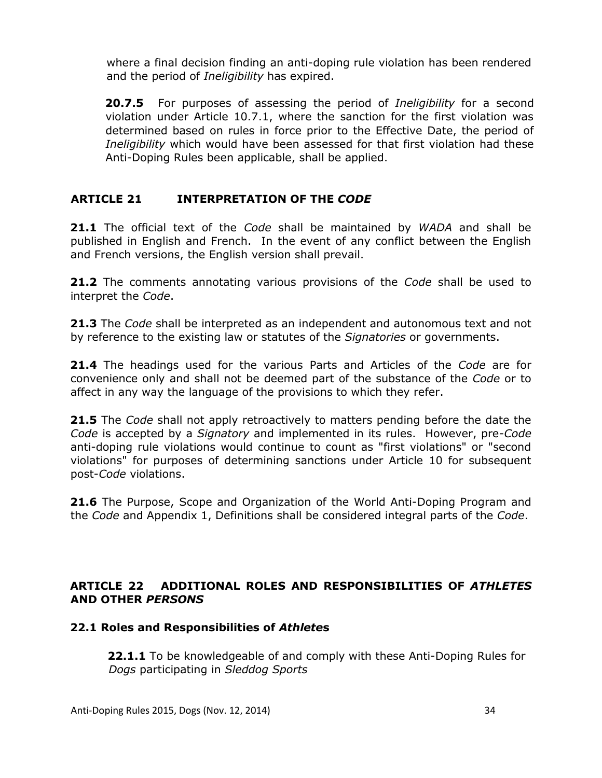where a final decision finding an anti-doping rule violation has been rendered and the period of *Ineligibility* has expired.

**20.7.5** For purposes of assessing the period of *Ineligibility* for a second violation under Article 10.7.1, where the sanction for the first violation was determined based on rules in force prior to the Effective Date, the period of *Ineligibility* which would have been assessed for that first violation had these Anti-Doping Rules been applicable, shall be applied.

## **ARTICLE 21 INTERPRETATION OF THE** *CODE*

**21.1** The official text of the *Code* shall be maintained by *WADA* and shall be published in English and French. In the event of any conflict between the English and French versions, the English version shall prevail.

**21.2** The comments annotating various provisions of the *Code* shall be used to interpret the *Code*.

**21.3** The *Code* shall be interpreted as an independent and autonomous text and not by reference to the existing law or statutes of the *Signatories* or governments.

**21.4** The headings used for the various Parts and Articles of the *Code* are for convenience only and shall not be deemed part of the substance of the *Code* or to affect in any way the language of the provisions to which they refer.

**21.5** The *Code* shall not apply retroactively to matters pending before the date the *Code* is accepted by a *Signatory* and implemented in its rules. However, pre-*Code* anti-doping rule violations would continue to count as "first violations" or "second violations" for purposes of determining sanctions under Article 10 for subsequent post-*Code* violations.

**21.6** The Purpose, Scope and Organization of the World Anti-Doping Program and the *Code* and Appendix 1, Definitions shall be considered integral parts of the *Code*.

## **ARTICLE 22 ADDITIONAL ROLES AND RESPONSIBILITIES OF** *ATHLETES* **AND OTHER** *PERSONS*

#### **22.1 Roles and Responsibilities of** *Athlete***s**

 **22.1.1** To be knowledgeable of and comply with these Anti-Doping Rules for  *Dogs* participating in *Sleddog Sports*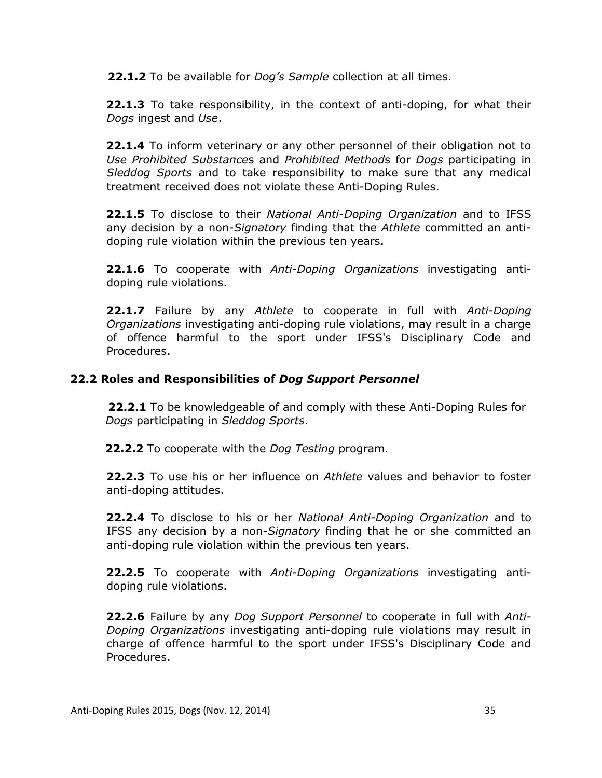**22.1.2** To be available for *Dog's Sample* collection at all times.

**22.1.3** To take responsibility, in the context of anti-doping, for what their *Dogs* ingest and *Use*.

**22.1.4** To inform veterinary or any other personnel of their obligation not to *Use Prohibited Substance*s and *Prohibited Method*s for *Dogs* participating in *Sleddog Sports* and to take responsibility to make sure that any medical treatment received does not violate these Anti-Doping Rules.

**22.1.5** To disclose to their *National Anti-Doping Organization* and to IFSS any decision by a non-*Signatory* finding that the *Athlete* committed an antidoping rule violation within the previous ten years.

**22.1.6** To cooperate with *Anti-Doping Organizations* investigating antidoping rule violations.

**22.1.7** Failure by any *Athlete* to cooperate in full with *Anti-Doping Organizations* investigating anti-doping rule violations, may result in a charge of offence harmful to the sport under IFSS's Disciplinary Code and Procedures.

## **22.2 Roles and Responsibilities of** *Dog Support Personnel*

**22.2.1** To be knowledgeable of and comply with these Anti-Doping Rules for *Dogs* participating in *Sleddog Sports*.

**22.2.2** To cooperate with the *Dog Testing* program.

**22.2.3** To use his or her influence on *Athlete* values and behavior to foster anti-doping attitudes.

**22.2.4** To disclose to his or her *National Anti-Doping Organization* and to IFSS any decision by a non-*Signatory* finding that he or she committed an anti-doping rule violation within the previous ten years.

**22.2.5** To cooperate with *Anti-Doping Organizations* investigating antidoping rule violations.

**22.2.6** Failure by any *Dog Support Personnel* to cooperate in full with *Anti-Doping Organizations* investigating anti-doping rule violations may result in charge of offence harmful to the sport under IFSS's Disciplinary Code and Procedures.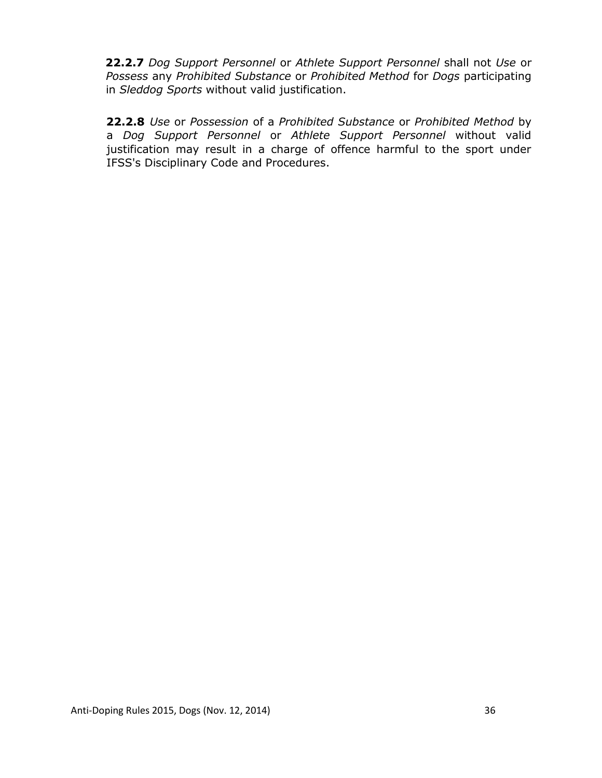**22.2.7** *Dog Support Personnel* or *Athlete Support Personnel* shall not *Use* or *Possess* any *Prohibited Substance* or *Prohibited Method* for *Dogs* participating in *Sleddog Sports* without valid justification.

**22.2.8** *Use* or *Possession* of a *Prohibited Substance* or *Prohibited Method* by a *Dog Support Personnel* or *Athlete Support Personnel* without valid justification may result in a charge of offence harmful to the sport under IFSS's Disciplinary Code and Procedures.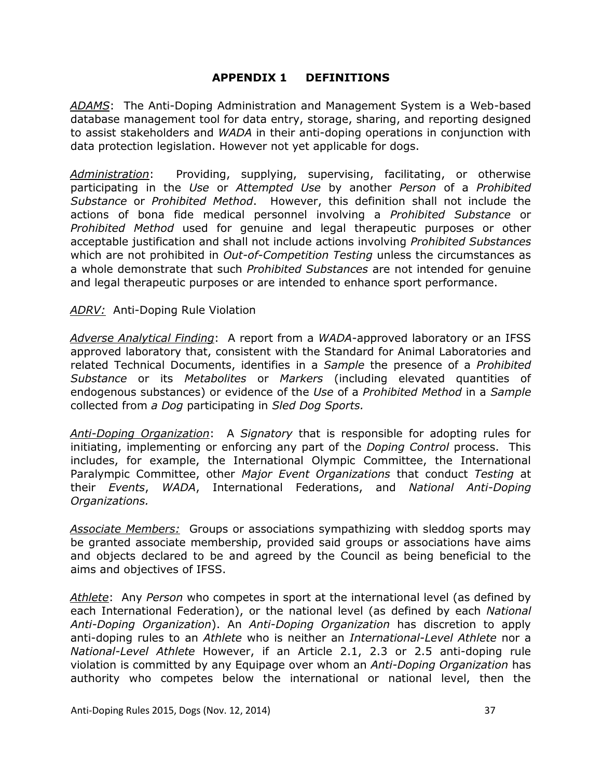#### **APPENDIX 1 DEFINITIONS**

*ADAMS*:The Anti-Doping Administration and Management System is a Web-based database management tool for data entry, storage, sharing, and reporting designed to assist stakeholders and *WADA* in their anti-doping operations in conjunction with data protection legislation. However not yet applicable for dogs.

*Administration*: Providing, supplying, supervising, facilitating, or otherwise participating in the *Use* or *Attempted Use* by another *Person* of a *Prohibited Substance* or *Prohibited Method*. However, this definition shall not include the actions of bona fide medical personnel involving a *Prohibited Substance* or *Prohibited Method* used for genuine and legal therapeutic purposes or other acceptable justification and shall not include actions involving *Prohibited Substances* which are not prohibited in *Out-of-Competition Testing* unless the circumstances as a whole demonstrate that such *Prohibited Substances* are not intended for genuine and legal therapeutic purposes or are intended to enhance sport performance.

#### *ADRV:* Anti-Doping Rule Violation

*Adverse Analytical Finding*: A report from a *WADA*-approved laboratory or an IFSS approved laboratory that, consistent with the Standard for Animal Laboratories and related Technical Documents, identifies in a *Sample* the presence of a *Prohibited Substance* or its *Metabolites* or *Markers* (including elevated quantities of endogenous substances) or evidence of the *Use* of a *Prohibited Method* in a *Sample* collected from *a Dog* participating in *Sled Dog Sports.*

*Anti-Doping Organization*: A *Signatory* that is responsible for adopting rules for initiating, implementing or enforcing any part of the *Doping Control* process. This includes, for example, the International Olympic Committee, the International Paralympic Committee, other *Major Event Organizations* that conduct *Testing* at their *Events*, *WADA*, International Federations, and *National Anti-Doping Organizations.*

*Associate Members:* Groups or associations sympathizing with sleddog sports may be granted associate membership, provided said groups or associations have aims and objects declared to be and agreed by the Council as being beneficial to the aims and objectives of IFSS.

*Athlete*: Any *Person* who competes in sport at the international level (as defined by each International Federation), or the national level (as defined by each *National Anti-Doping Organization*). An *Anti-Doping Organization* has discretion to apply anti-doping rules to an *Athlete* who is neither an *International-Level Athlete* nor a *National-Level Athlete* However, if an Article 2.1, 2.3 or 2.5 anti-doping rule violation is committed by any Equipage over whom an *Anti-Doping Organization* has authority who competes below the international or national level, then the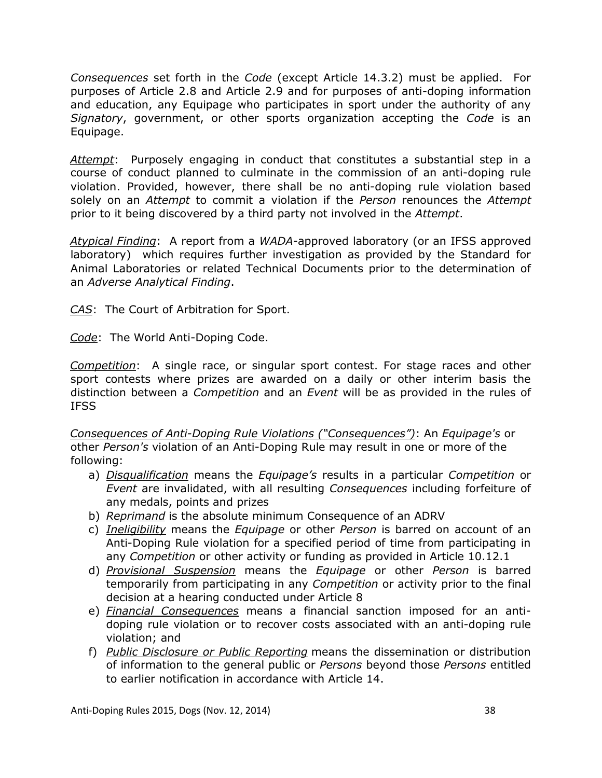*Consequences* set forth in the *Code* (except Article 14.3.2) must be applied. For purposes of Article 2.8 and Article 2.9 and for purposes of anti-doping information and education, any Equipage who participates in sport under the authority of any *Signatory*, government, or other sports organization accepting the *Code* is an Equipage.

*Attempt*: Purposely engaging in conduct that constitutes a substantial step in a course of conduct planned to culminate in the commission of an anti-doping rule violation. Provided, however, there shall be no anti-doping rule violation based solely on an *Attempt* to commit a violation if the *Person* renounces the *Attempt* prior to it being discovered by a third party not involved in the *Attempt*.

*Atypical Finding*: A report from a *WADA*-approved laboratory (or an IFSS approved laboratory) which requires further investigation as provided by the Standard for Animal Laboratories or related Technical Documents prior to the determination of an *Adverse Analytical Finding*.

*CAS*: The Court of Arbitration for Sport.

*Code*: The World Anti-Doping Code.

*Competition*: A single race, or singular sport contest. For stage races and other sport contests where prizes are awarded on a daily or other interim basis the distinction between a *Competition* and an *Event* will be as provided in the rules of IFSS

*Consequences of Anti-Doping Rule Violations ("Consequences")*: An *Equipage's* or other *Person's* violation of an Anti-Doping Rule may result in one or more of the following:

- a) *Disqualification* means the *Equipage's* results in a particular *Competition* or *Event* are invalidated, with all resulting *Consequences* including forfeiture of any medals, points and prizes
- b) *Reprimand* is the absolute minimum Consequence of an ADRV
- c) *Ineligibility* means the *Equipage* or other *Person* is barred on account of an Anti-Doping Rule violation for a specified period of time from participating in any *Competition* or other activity or funding as provided in Article 10.12.1
- d) *Provisional Suspension* means the *Equipage* or other *Person* is barred temporarily from participating in any *Competition* or activity prior to the final decision at a hearing conducted under Article 8
- e) *Financial Consequences* means a financial sanction imposed for an antidoping rule violation or to recover costs associated with an anti-doping rule violation; and
- f) *Public Disclosure or Public Reporting* means the dissemination or distribution of information to the general public or *Persons* beyond those *Persons* entitled to earlier notification in accordance with Article 14.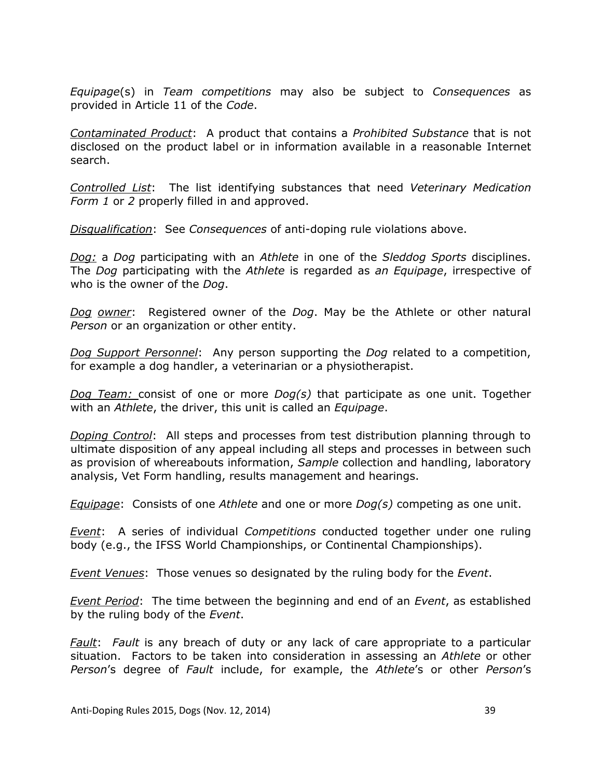*Equipage*(s) in *Team competitions* may also be subject to *Consequences* as provided in Article 11 of the *Code*.

*Contaminated Product*:A product that contains a *Prohibited Substance* that is not disclosed on the product label or in information available in a reasonable Internet search.

*Controlled List*: The list identifying substances that need *Veterinary Medication Form 1* or *2* properly filled in and approved.

*Disqualification*: See *Consequences* of anti-doping rule violations above.

*Dog:* a *Dog* participating with an *Athlete* in one of the *Sleddog Sports* disciplines. The *Dog* participating with the *Athlete* is regarded as *an Equipage*, irrespective of who is the owner of the *Dog*.

*Dog owner*: Registered owner of the *Dog*. May be the Athlete or other natural *Person* or an organization or other entity.

*Dog Support Personnel*: Any person supporting the *Dog* related to a competition, for example a dog handler, a veterinarian or a physiotherapist.

*Dog Team:* consist of one or more *Dog(s)* that participate as one unit. Together with an *Athlete*, the driver, this unit is called an *Equipage*.

*Doping Control*: All steps and processes from test distribution planning through to ultimate disposition of any appeal including all steps and processes in between such as provision of whereabouts information, *Sample* collection and handling, laboratory analysis, Vet Form handling, results management and hearings.

*Equipage*: Consists of one *Athlete* and one or more *Dog(s)* competing as one unit.

*Event*: A series of individual *Competitions* conducted together under one ruling body (e.g., the IFSS World Championships, or Continental Championships).

*Event Venues*: Those venues so designated by the ruling body for the *Event*.

*Event Period*: The time between the beginning and end of an *Event*, as established by the ruling body of the *Event*.

*Fault*: *Fault* is any breach of duty or any lack of care appropriate to a particular situation. Factors to be taken into consideration in assessing an *Athlete* or other *Person*'s degree of *Fault* include, for example, the *Athlete*'s or other *Person*'s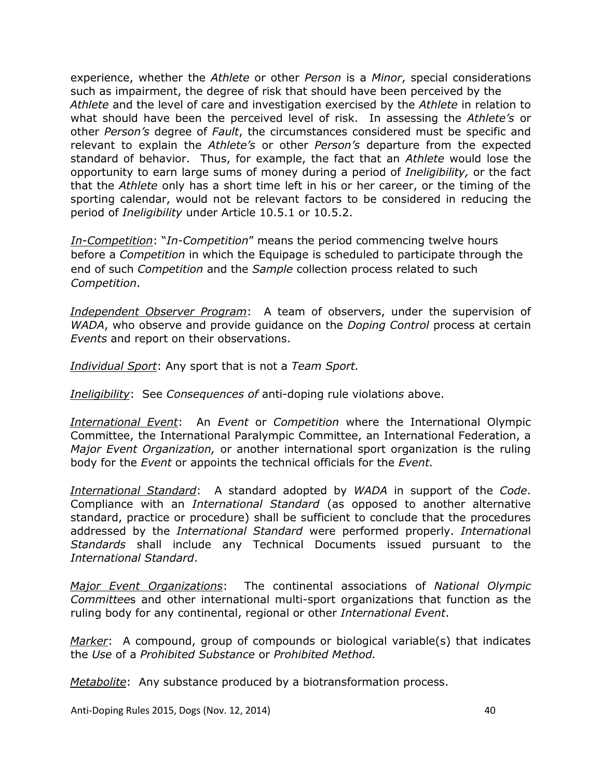experience, whether the *Athlete* or other *Person* is a *Minor*, special considerations such as impairment, the degree of risk that should have been perceived by the *Athlete* and the level of care and investigation exercised by the *Athlete* in relation to what should have been the perceived level of risk. In assessing the *Athlete's* or other *Person's* degree of *Fault*, the circumstances considered must be specific and relevant to explain the *Athlete's* or other *Person's* departure from the expected standard of behavior. Thus, for example, the fact that an *Athlete* would lose the opportunity to earn large sums of money during a period of *Ineligibility,* or the fact that the *Athlete* only has a short time left in his or her career, or the timing of the sporting calendar, would not be relevant factors to be considered in reducing the period of *Ineligibility* under Article 10.5.1 or 10.5.2.

*In-Competition*: "*In-Competition*" means the period commencing twelve hours before a *Competition* in which the Equipage is scheduled to participate through the end of such *Competition* and the *Sample* collection process related to such *Competition*.

*Independent Observer Program*: A team of observers, under the supervision of *WADA*, who observe and provide guidance on the *Doping Control* process at certain *Events* and report on their observations.

*Individual Sport*: Any sport that is not a *Team Sport.* 

*Ineligibility*: See *Consequences of* anti-doping rule violation*s* above.

*International Event*:An *Event* or *Competition* where the International Olympic Committee, the International Paralympic Committee, an International Federation, a *Major Event Organization,* or another international sport organization is the ruling body for the *Event* or appoints the technical officials for the *Event.* 

*International Standard*: A standard adopted by *WADA* in support of the *Code*. Compliance with an *International Standard* (as opposed to another alternative standard, practice or procedure) shall be sufficient to conclude that the procedures addressed by the *International Standard* were performed properly. *Internationa*l *Standards* shall include any Technical Documents issued pursuant to the *International Standard*.

*Major Event Organizations*: The continental associations of *National Olympic Committee*s and other international multi-sport organizations that function as the ruling body for any continental, regional or other *International Event*.

*Marker*: A compound, group of compounds or biological variable(s) that indicates the *Use* of a *Prohibited Substance* or *Prohibited Method.* 

*Metabolite*: Any substance produced by a biotransformation process.

Anti-Doping Rules 2015, Dogs (Nov. 12, 2014) 40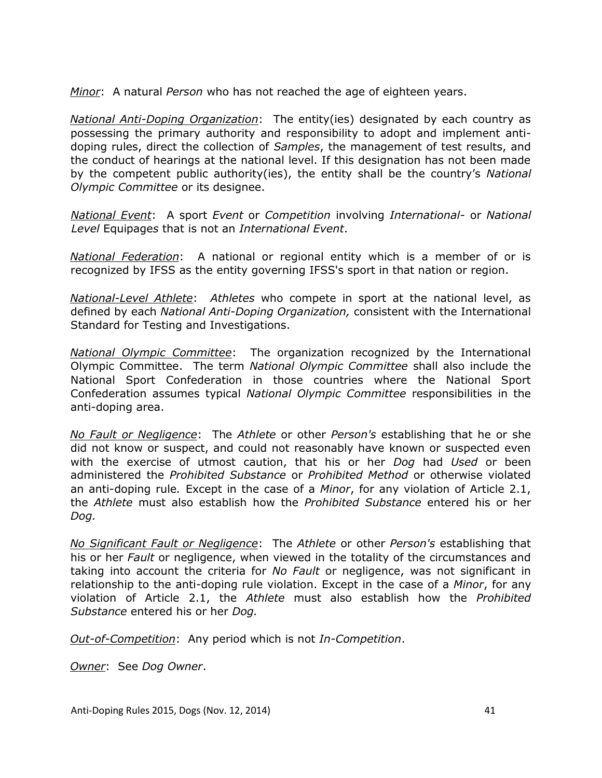*Minor*: A natural *Person* who has not reached the age of eighteen years.

*National Anti-Doping Organization*: The entity(ies) designated by each country as possessing the primary authority and responsibility to adopt and implement antidoping rules, direct the collection of *Samples*, the management of test results, and the conduct of hearings at the national level. If this designation has not been made by the competent public authority(ies), the entity shall be the country's *National Olympic Committee* or its designee.

*National Event*: A sport *Event* or *Competition* involving *International-* or *National Level* Equipage*s* that is not an *International Event*.

*National Federation*: A national or regional entity which is a member of or is recognized by IFSS as the entity governing IFSS's sport in that nation or region.

*National-Level Athlete*: *Athletes* who compete in sport at the national level, as defined by each *National Anti-Doping Organization,* consistent with the International Standard for Testing and Investigations.

*National Olympic Committee*: The organization recognized by the International Olympic Committee. The term *National Olympic Committee* shall also include the National Sport Confederation in those countries where the National Sport Confederation assumes typical *National Olympic Committee* responsibilities in the anti-doping area.

*No Fault or Negligence*: The *Athlete* or other *Person's* establishing that he or she did not know or suspect, and could not reasonably have known or suspected even with the exercise of utmost caution, that his or her *Dog* had *Used* or been administered the *Prohibited Substance* or *Prohibited Method* or otherwise violated an anti-doping rule*.* Except in the case of a *Minor*, for any violation of Article 2.1, the *Athlete* must also establish how the *Prohibited Substance* entered his or her *Dog.* 

*No Significant Fault or Negligence*: The *Athlete* or other *Person's* establishing that his or her *Fault* or negligence, when viewed in the totality of the circumstances and taking into account the criteria for *No Fault* or negligence, was not significant in relationship to the anti-doping rule violation. Except in the case of a *Minor*, for any violation of Article 2.1, the *Athlete* must also establish how the *Prohibited Substance* entered his or her *Dog.* 

*Out-of-Competition*: Any period which is not *In-Competition*.

*Owner*: See *Dog Owner*.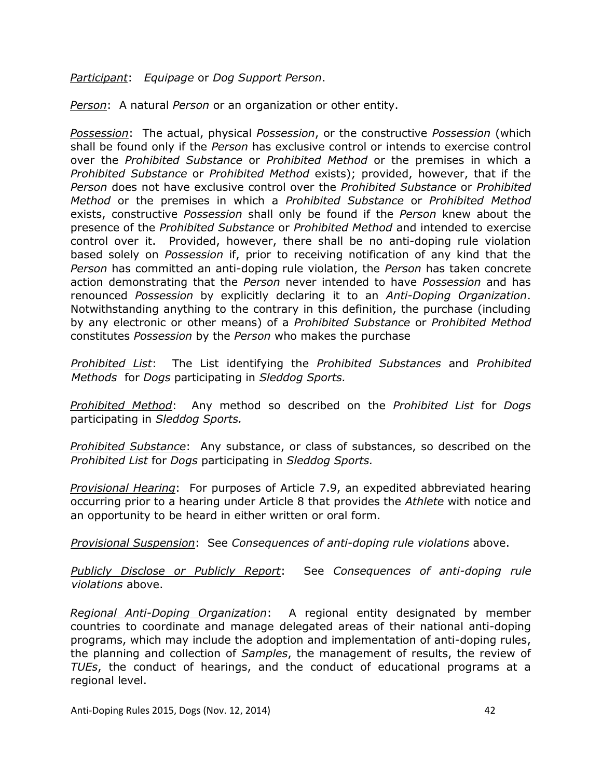*Participant*: *Equipage* or *Dog Support Person*.

*Person*: A natural *Person* or an organization or other entity.

*Possession*: The actual, physical *Possession*, or the constructive *Possession* (which shall be found only if the *Person* has exclusive control or intends to exercise control over the *Prohibited Substance* or *Prohibited Method* or the premises in which a *Prohibited Substance* or *Prohibited Method* exists); provided, however, that if the *Person* does not have exclusive control over the *Prohibited Substance* or *Prohibited Method* or the premises in which a *Prohibited Substance* or *Prohibited Method* exists, constructive *Possession* shall only be found if the *Person* knew about the presence of the *Prohibited Substance* or *Prohibited Method* and intended to exercise control over it. Provided, however, there shall be no anti-doping rule violation based solely on *Possession* if, prior to receiving notification of any kind that the *Person* has committed an anti-doping rule violation, the *Person* has taken concrete action demonstrating that the *Person* never intended to have *Possession* and has renounced *Possession* by explicitly declaring it to an *Anti-Doping Organization*. Notwithstanding anything to the contrary in this definition, the purchase (including by any electronic or other means) of a *Prohibited Substance* or *Prohibited Method* constitutes *Possession* by the *Person* who makes the purchase

*Prohibited List*: The List identifying the *Prohibited Substances* and *Prohibited Methods* for *Dogs* participating in *Sleddog Sports.* 

*Prohibited Method*: Any method so described on the *Prohibited List* for *Dogs* participating in *Sleddog Sports.*

*Prohibited Substance*: Any substance, or class of substances, so described on the *Prohibited List* for *Dogs* participating in *Sleddog Sports.*

*Provisional Hearing*: For purposes of Article 7.9, an expedited abbreviated hearing occurring prior to a hearing under Article 8 that provides the *Athlete* with notice and an opportunity to be heard in either written or oral form.

*Provisional Suspension*: See *Consequences of anti-doping rule violations* above.

*Publicly Disclose or Publicly Report*: See *Consequences of anti-doping rule violations* above.

*Regional Anti-Doping Organization*:A regional entity designated by member countries to coordinate and manage delegated areas of their national anti-doping programs, which may include the adoption and implementation of anti-doping rules, the planning and collection of *Samples*, the management of results, the review of *TUEs*, the conduct of hearings, and the conduct of educational programs at a regional level.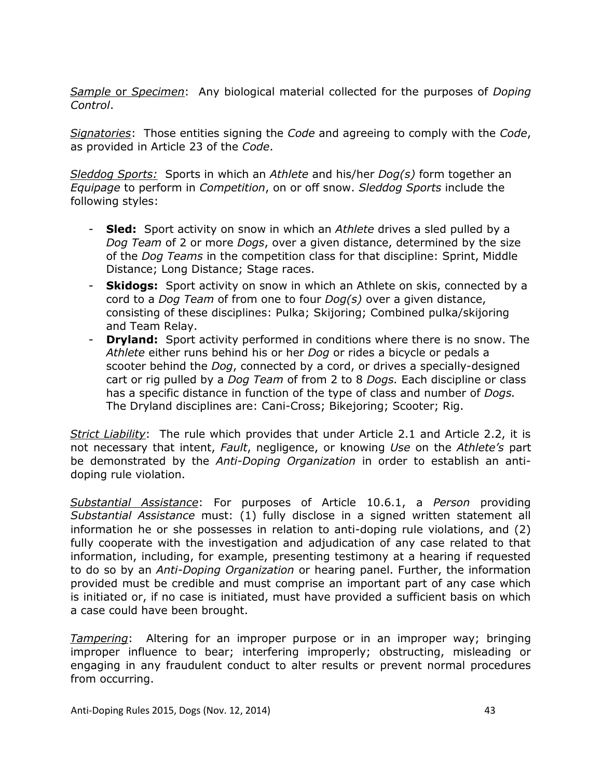*Sample* or *Specimen*: Any biological material collected for the purposes of *Doping Control*.

*Signatories*: Those entities signing the *Code* and agreeing to comply with the *Code*, as provided in Article 23 of the *Code*.

*Sleddog Sports:* Sports in which an *Athlete* and his/her *Dog(s)* form together an *Equipage* to perform in *Competition*, on or off snow. *Sleddog Sports* include the following styles:

- **Sled:** Sport activity on snow in which an *Athlete* drives a sled pulled by a *Dog Team* of 2 or more *Dogs*, over a given distance, determined by the size of the *Dog Teams* in the competition class for that discipline: Sprint, Middle Distance; Long Distance; Stage races.
- **Skidogs:** Sport activity on snow in which an Athlete on skis, connected by a cord to a *Dog Team* of from one to four *Dog(s)* over a given distance, consisting of these disciplines: Pulka; Skijoring; Combined pulka/skijoring and Team Relay.
- **Dryland:** Sport activity performed in conditions where there is no snow. The *Athlete* either runs behind his or her *Dog* or rides a bicycle or pedals a scooter behind the *Dog*, connected by a cord, or drives a specially-designed cart or rig pulled by a *Dog Team* of from 2 to 8 *Dogs.* Each discipline or class has a specific distance in function of the type of class and number of *Dogs.*  The Dryland disciplines are: Cani-Cross; Bikejoring; Scooter; Rig.

*Strict Liability*: The rule which provides that under Article 2.1 and Article 2.2, it is not necessary that intent, *Fault*, negligence, or knowing *Use* on the *Athlete's* part be demonstrated by the *Anti-Doping Organization* in order to establish an antidoping rule violation.

*Substantial Assistance*: For purposes of Article 10.6.1, a *Person* providing *Substantial Assistance* must: (1) fully disclose in a signed written statement all information he or she possesses in relation to anti-doping rule violations, and (2) fully cooperate with the investigation and adjudication of any case related to that information, including, for example, presenting testimony at a hearing if requested to do so by an *Anti-Doping Organization* or hearing panel. Further, the information provided must be credible and must comprise an important part of any case which is initiated or, if no case is initiated, must have provided a sufficient basis on which a case could have been brought.

*Tampering*:Altering for an improper purpose or in an improper way; bringing improper influence to bear; interfering improperly; obstructing, misleading or engaging in any fraudulent conduct to alter results or prevent normal procedures from occurring.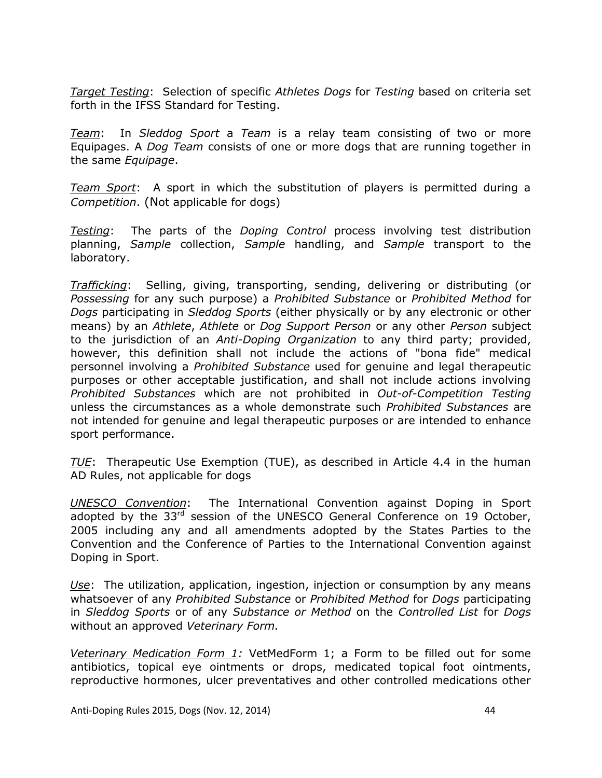*Target Testing*: Selection of specific *Athletes Dogs* for *Testing* based on criteria set forth in the IFSS Standard for Testing.

*Team*: In *Sleddog Sport* a *Team* is a relay team consisting of two or more Equipages. A *Dog Team* consists of one or more dogs that are running together in the same *Equipage*.

*Team Sport*: A sport in which the substitution of players is permitted during a *Competition*. (Not applicable for dogs)

*Testing*: The parts of the *Doping Control* process involving test distribution planning, *Sample* collection, *Sample* handling, and *Sample* transport to the laboratory.

*Trafficking*: Selling, giving, transporting, sending, delivering or distributing (or *Possessing* for any such purpose) a *Prohibited Substance* or *Prohibited Method* for *Dogs* participating in *Sleddog Sports* (either physically or by any electronic or other means) by an *Athlete*, *Athlete* or *Dog Support Person* or any other *Person* subject to the jurisdiction of an *Anti-Doping Organization* to any third party; provided, however, this definition shall not include the actions of "bona fide" medical personnel involving a *Prohibited Substance* used for genuine and legal therapeutic purposes or other acceptable justification, and shall not include actions involving *Prohibited Substances* which are not prohibited in *Out-of-Competition Testing* unless the circumstances as a whole demonstrate such *Prohibited Substances* are not intended for genuine and legal therapeutic purposes or are intended to enhance sport performance.

*TUE*:Therapeutic Use Exemption (TUE), as described in Article 4.4 in the human AD Rules, not applicable for dogs

*UNESCO Convention*: The International Convention against Doping in Sport adopted by the 33<sup>rd</sup> session of the UNESCO General Conference on 19 October, 2005 including any and all amendments adopted by the States Parties to the Convention and the Conference of Parties to the International Convention against Doping in Sport.

*Use*: The utilization, application, ingestion, injection or consumption by any means whatsoever of any *Prohibited Substance* or *Prohibited Method* for *Dogs* participating in *Sleddog Sports* or of any *Substance or Method* on the *Controlled List* for *Dogs* without an approved *Veterinary Form.*

*Veterinary Medication Form 1:* VetMedForm 1; a Form to be filled out for some antibiotics, topical eye ointments or drops, medicated topical foot ointments, reproductive hormones, ulcer preventatives and other controlled medications other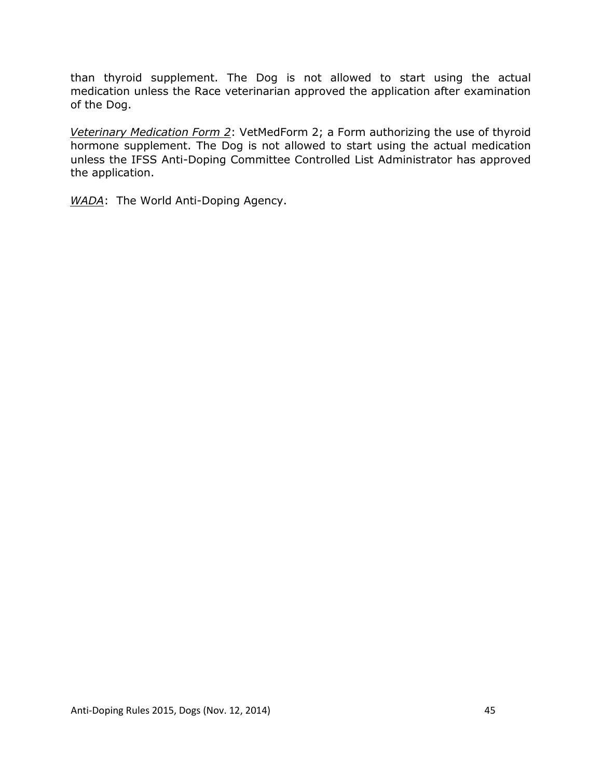than thyroid supplement. The Dog is not allowed to start using the actual medication unless the Race veterinarian approved the application after examination of the Dog.

*Veterinary Medication Form 2*: VetMedForm 2; a Form authorizing the use of thyroid hormone supplement. The Dog is not allowed to start using the actual medication unless the IFSS Anti-Doping Committee Controlled List Administrator has approved the application.

*WADA*: The World Anti-Doping Agency.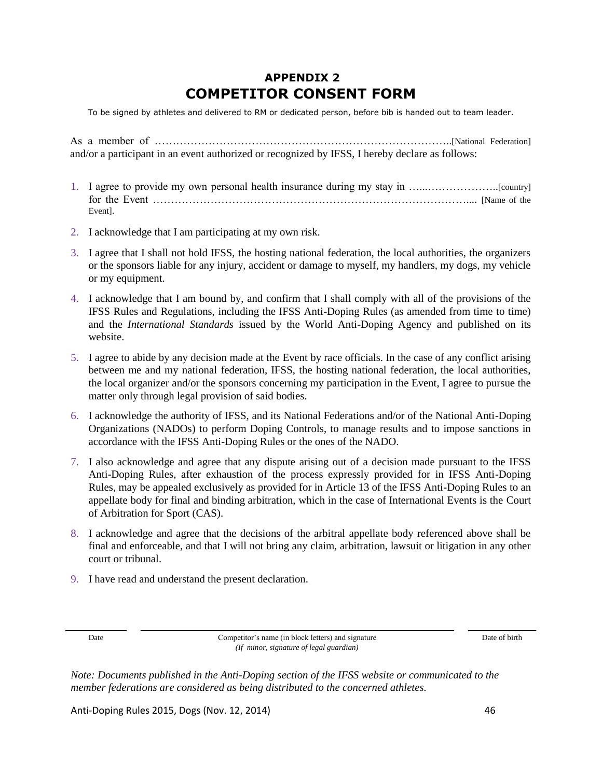# **APPENDIX 2 COMPETITOR CONSENT FORM**

To be signed by athletes and delivered to RM or dedicated person, before bib is handed out to team leader.

As a member of ………………………………………………………………………..[National Federation] and/or a participant in an event authorized or recognized by IFSS, I hereby declare as follows:

- 1. I agree to provide my own personal health insurance during my stay in …...………………..[country] for the Event …………………………………………………………………………….... [Name of the Event].
- 2. I acknowledge that I am participating at my own risk.
- 3. I agree that I shall not hold IFSS, the hosting national federation, the local authorities, the organizers or the sponsors liable for any injury, accident or damage to myself, my handlers, my dogs, my vehicle or my equipment.
- 4. I acknowledge that I am bound by, and confirm that I shall comply with all of the provisions of the IFSS Rules and Regulations, including the IFSS Anti-Doping Rules (as amended from time to time) and the *International Standards* issued by the World Anti-Doping Agency and published on its website.
- 5. I agree to abide by any decision made at the Event by race officials. In the case of any conflict arising between me and my national federation, IFSS, the hosting national federation, the local authorities, the local organizer and/or the sponsors concerning my participation in the Event, I agree to pursue the matter only through legal provision of said bodies.
- 6. I acknowledge the authority of IFSS, and its National Federations and/or of the National Anti-Doping Organizations (NADOs) to perform Doping Controls, to manage results and to impose sanctions in accordance with the IFSS Anti-Doping Rules or the ones of the NADO.
- 7. I also acknowledge and agree that any dispute arising out of a decision made pursuant to the IFSS Anti-Doping Rules, after exhaustion of the process expressly provided for in IFSS Anti-Doping Rules, may be appealed exclusively as provided for in Article 13 of the IFSS Anti-Doping Rules to an appellate body for final and binding arbitration, which in the case of International Events is the Court of Arbitration for Sport (CAS).
- 8. I acknowledge and agree that the decisions of the arbitral appellate body referenced above shall be final and enforceable, and that I will not bring any claim, arbitration, lawsuit or litigation in any other court or tribunal.
- 9. I have read and understand the present declaration.

Date Competitor's name (in block letters) and signature Date of birth Date of birth *(If minor, signature of legal guardian)*

*Note: Documents published in the Anti-Doping section of the IFSS website or communicated to the member federations are considered as being distributed to the concerned athletes.*

Anti-Doping Rules 2015, Dogs (Nov. 12, 2014) 46